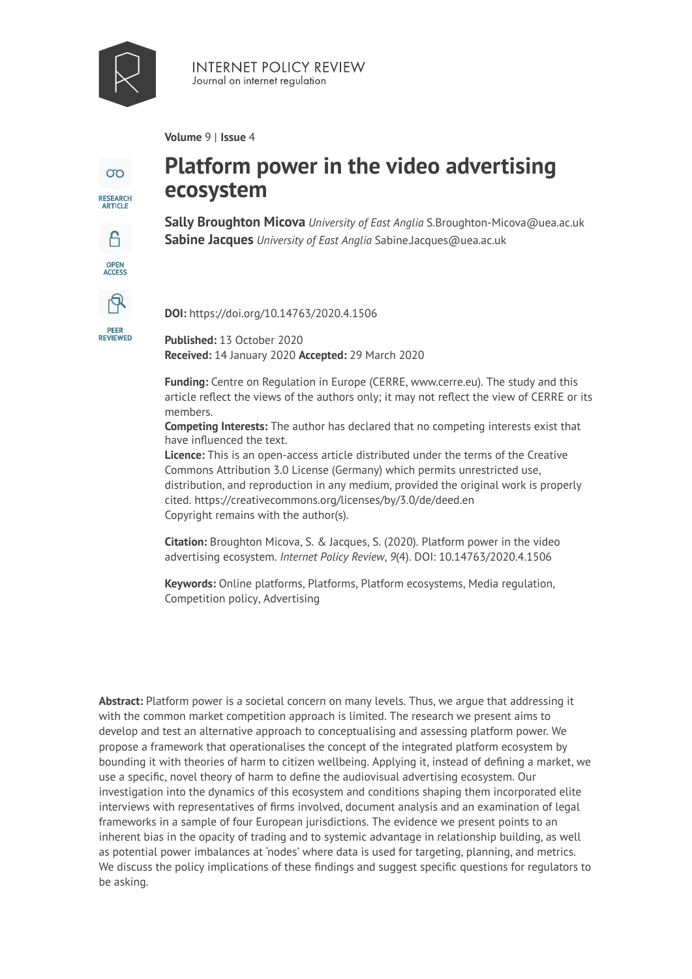

**INTERNET POLICY REVIEW** Journal on internet regulation

**Volume** 9 | **Issue** 4



OPEN<br>ACCESS

R

**PEER<br>REVIEWED** 

# **Platform power in the video advertising ecosystem**

**Sally Broughton Micova** *University of East Anglia* S.Broughton-Micova@uea.ac.uk **Sabine Jacques** *University of East Anglia* Sabine.Jacques@uea.ac.uk

**DOI:** https://doi.org/10.14763/2020.4.1506

**Published:** 13 October 2020 **Received:** 14 January 2020 **Accepted:** 29 March 2020

**Funding:** Centre on Regulation in Europe (CERRE, www.cerre.eu). The study and this article reflect the views of the authors only; it may not reflect the view of CERRE or its members.

**Competing Interests:** The author has declared that no competing interests exist that have influenced the text.

**Licence:** [This is an open-access article distributed under the terms of the Creative](https://creativecommons.org/licenses/by/3.0/de/deed.en)  [Commons Attribution 3.0 License \(Germany\) which permits unrestricted use,](https://creativecommons.org/licenses/by/3.0/de/deed.en) [distribution, and reproduction in any medium, provided the original work is properly](https://creativecommons.org/licenses/by/3.0/de/deed.en)  cited. <https://creativecommons.org/licenses/by/3.0/de/deed.en> [Copyright remains with the author\(s\).](https://creativecommons.org/licenses/by/3.0/de/deed.en) 

**Citation:** Broughton Micova, S. & Jacques, S. (2020). Platform power in the video advertising ecosystem. *Internet Policy Review*, *9*(4). DOI: 10.14763/2020.4.1506

**Keywords:** Online platforms, Platforms, Platform ecosystems, Media regulation, Competition policy, Advertising

**Abstract:** Platform power is a societal concern on many levels. Thus, we argue that addressing it with the common market competition approach is limited. The research we present aims to develop and test an alternative approach to conceptualising and assessing platform power. We propose a framework that operationalises the concept of the integrated platform ecosystem by bounding it with theories of harm to citizen wellbeing. Applying it, instead of defining a market, we use a specific, novel theory of harm to define the audiovisual advertising ecosystem. Our investigation into the dynamics of this ecosystem and conditions shaping them incorporated elite interviews with representatives of firms involved, document analysis and an examination of legal frameworks in a sample of four European jurisdictions. The evidence we present points to an inherent bias in the opacity of trading and to systemic advantage in relationship building, as well as potential power imbalances at 'nodes' where data is used for targeting, planning, and metrics. We discuss the policy implications of these findings and suggest specific questions for regulators to be asking.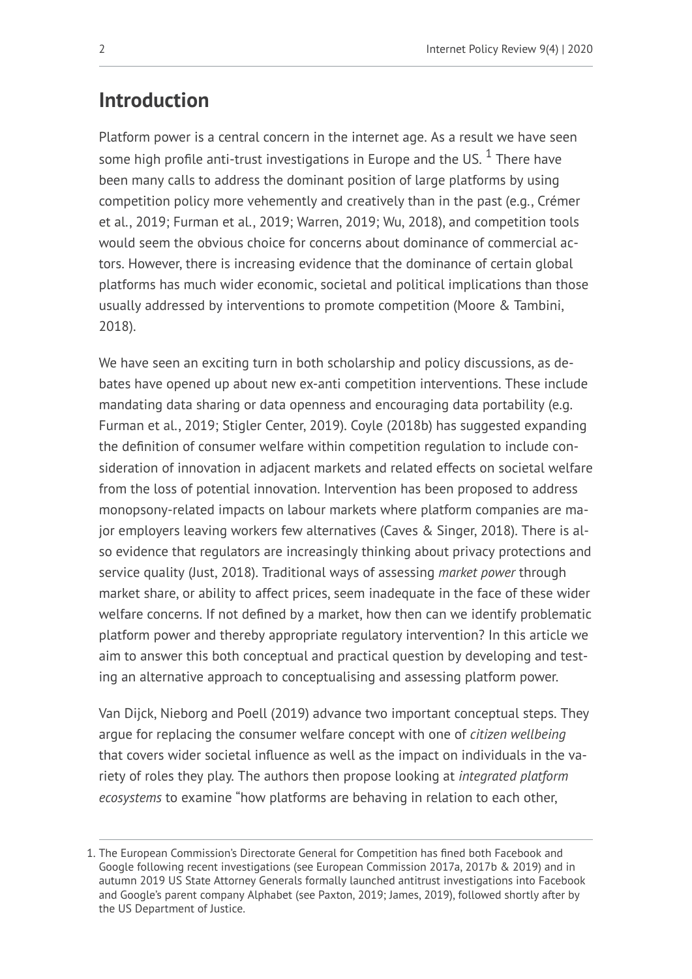# **Introduction**

Platform power is a central concern in the internet age. As a result we have seen some high profile anti-trust investigations in Europe and the US.  $^{\rm 1}$  There have been many calls to address the dominant position of large platforms by using competition policy more vehemently and creatively than in the past (e.g., Crémer et al., 2019; Furman et al., 2019; Warren, 2019; Wu, 2018), and competition tools would seem the obvious choice for concerns about dominance of commercial actors. However, there is increasing evidence that the dominance of certain global platforms has much wider economic, societal and political implications than those usually addressed by interventions to promote competition (Moore & Tambini, 2018).

We have seen an exciting turn in both scholarship and policy discussions, as debates have opened up about new ex-anti competition interventions. These include mandating data sharing or data openness and encouraging data portability (e.g. Furman et al., 2019; Stigler Center, 2019). Coyle (2018b) has suggested expanding the definition of consumer welfare within competition regulation to include consideration of innovation in adjacent markets and related effects on societal welfare from the loss of potential innovation. Intervention has been proposed to address monopsony-related impacts on labour markets where platform companies are major employers leaving workers few alternatives (Caves & Singer, 2018). There is also evidence that regulators are increasingly thinking about privacy protections and service quality (Just, 2018). Traditional ways of assessing *market power* through market share, or ability to affect prices, seem inadequate in the face of these wider welfare concerns. If not defined by a market, how then can we identify problematic platform power and thereby appropriate regulatory intervention? In this article we aim to answer this both conceptual and practical question by developing and testing an alternative approach to conceptualising and assessing platform power.

Van Dijck, Nieborg and Poell (2019) advance two important conceptual steps. They argue for replacing the consumer welfare concept with one of *citizen wellbeing*  that covers wider societal influence as well as the impact on individuals in the variety of roles they play. The authors then propose looking at *integrated platform ecosystems* to examine "how platforms are behaving in relation to each other,

<sup>1.</sup> The European Commission's Directorate General for Competition has fined both Facebook and Google following recent investigations (see European Commission 2017a, 2017b & 2019) and in autumn 2019 US State Attorney Generals formally launched antitrust investigations into Facebook and Google's parent company Alphabet (see Paxton, 2019; James, 2019), followed shortly after by the US Department of Justice.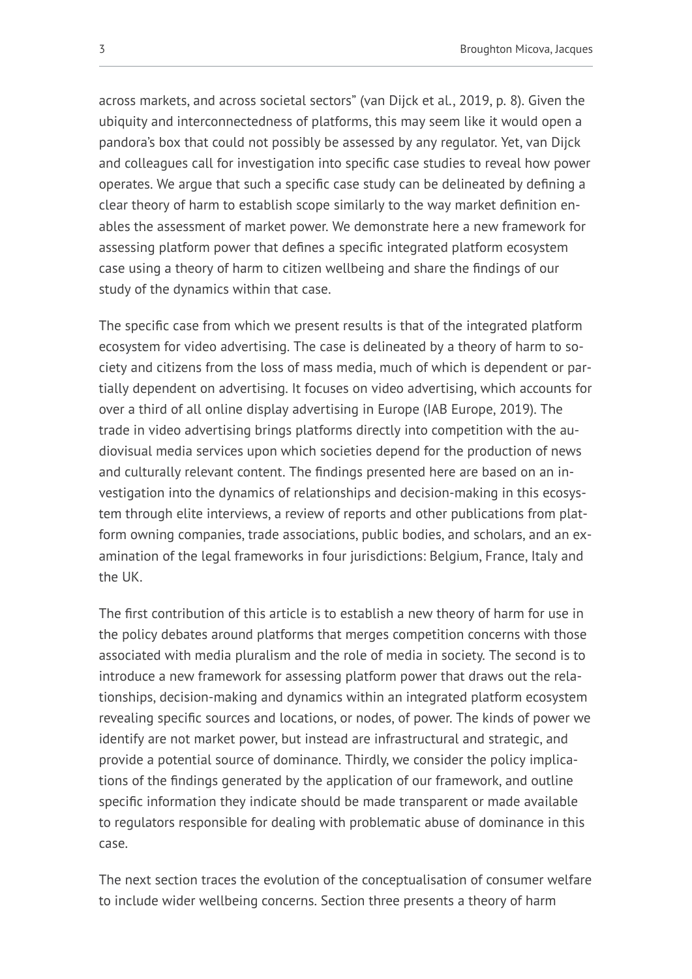across markets, and across societal sectors" (van Dijck et al., 2019, p. 8). Given the ubiquity and interconnectedness of platforms, this may seem like it would open a pandora's box that could not possibly be assessed by any regulator. Yet, van Dijck and colleagues call for investigation into specific case studies to reveal how power operates. We argue that such a specific case study can be delineated by defining a clear theory of harm to establish scope similarly to the way market definition enables the assessment of market power. We demonstrate here a new framework for assessing platform power that defines a specific integrated platform ecosystem case using a theory of harm to citizen wellbeing and share the findings of our study of the dynamics within that case.

The specific case from which we present results is that of the integrated platform ecosystem for video advertising. The case is delineated by a theory of harm to society and citizens from the loss of mass media, much of which is dependent or partially dependent on advertising. It focuses on video advertising, which accounts for over a third of all online display advertising in Europe (IAB Europe, 2019). The trade in video advertising brings platforms directly into competition with the audiovisual media services upon which societies depend for the production of news and culturally relevant content. The findings presented here are based on an investigation into the dynamics of relationships and decision-making in this ecosystem through elite interviews, a review of reports and other publications from platform owning companies, trade associations, public bodies, and scholars, and an examination of the legal frameworks in four jurisdictions: Belgium, France, Italy and the UK.

The first contribution of this article is to establish a new theory of harm for use in the policy debates around platforms that merges competition concerns with those associated with media pluralism and the role of media in society. The second is to introduce a new framework for assessing platform power that draws out the relationships, decision-making and dynamics within an integrated platform ecosystem revealing specific sources and locations, or nodes, of power. The kinds of power we identify are not market power, but instead are infrastructural and strategic, and provide a potential source of dominance. Thirdly, we consider the policy implications of the findings generated by the application of our framework, and outline specific information they indicate should be made transparent or made available to regulators responsible for dealing with problematic abuse of dominance in this case.

The next section traces the evolution of the conceptualisation of consumer welfare to include wider wellbeing concerns. Section three presents a theory of harm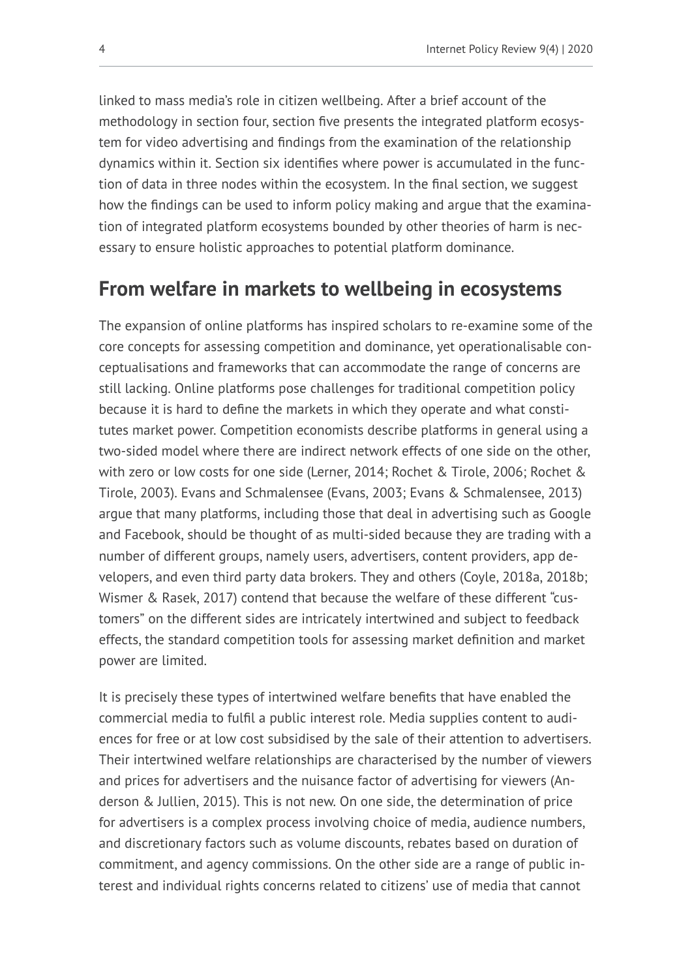linked to mass media's role in citizen wellbeing. After a brief account of the methodology in section four, section five presents the integrated platform ecosystem for video advertising and findings from the examination of the relationship dynamics within it. Section six identifies where power is accumulated in the function of data in three nodes within the ecosystem. In the final section, we suggest how the findings can be used to inform policy making and argue that the examination of integrated platform ecosystems bounded by other theories of harm is necessary to ensure holistic approaches to potential platform dominance.

## **From welfare in markets to wellbeing in ecosystems**

The expansion of online platforms has inspired scholars to re-examine some of the core concepts for assessing competition and dominance, yet operationalisable conceptualisations and frameworks that can accommodate the range of concerns are still lacking. Online platforms pose challenges for traditional competition policy because it is hard to define the markets in which they operate and what constitutes market power. Competition economists describe platforms in general using a two-sided model where there are indirect network effects of one side on the other, with zero or low costs for one side (Lerner, 2014; Rochet & Tirole, 2006; Rochet & Tirole, 2003). Evans and Schmalensee (Evans, 2003; Evans & Schmalensee, 2013) argue that many platforms, including those that deal in advertising such as Google and Facebook, should be thought of as multi-sided because they are trading with a number of different groups, namely users, advertisers, content providers, app developers, and even third party data brokers. They and others (Coyle, 2018a, 2018b; Wismer & Rasek, 2017) contend that because the welfare of these different "customers" on the different sides are intricately intertwined and subject to feedback effects, the standard competition tools for assessing market definition and market power are limited.

It is precisely these types of intertwined welfare benefits that have enabled the commercial media to fulfil a public interest role. Media supplies content to audiences for free or at low cost subsidised by the sale of their attention to advertisers. Their intertwined welfare relationships are characterised by the number of viewers and prices for advertisers and the nuisance factor of advertising for viewers (Anderson & Jullien, 2015). This is not new. On one side, the determination of price for advertisers is a complex process involving choice of media, audience numbers, and discretionary factors such as volume discounts, rebates based on duration of commitment, and agency commissions. On the other side are a range of public interest and individual rights concerns related to citizens' use of media that cannot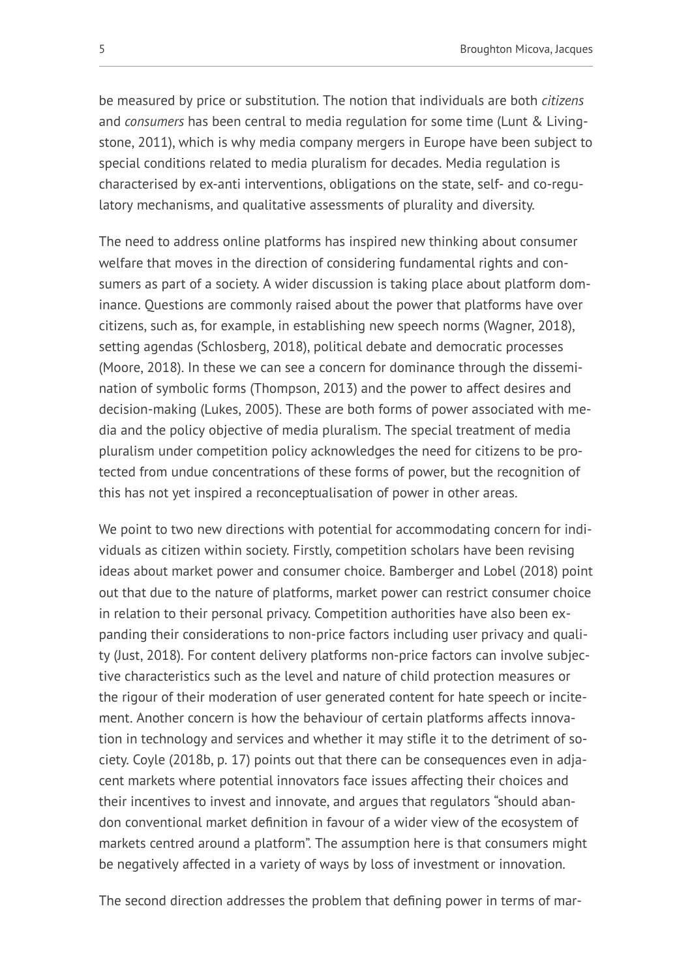be measured by price or substitution. The notion that individuals are both *citizens*  and *consumers* has been central to media regulation for some time (Lunt & Livingstone, 2011), which is why media company mergers in Europe have been subject to special conditions related to media pluralism for decades. Media regulation is characterised by ex-anti interventions, obligations on the state, self- and co-regulatory mechanisms, and qualitative assessments of plurality and diversity.

The need to address online platforms has inspired new thinking about consumer welfare that moves in the direction of considering fundamental rights and consumers as part of a society. A wider discussion is taking place about platform dominance. Questions are commonly raised about the power that platforms have over citizens, such as, for example, in establishing new speech norms (Wagner, 2018), setting agendas (Schlosberg, 2018), political debate and democratic processes (Moore, 2018). In these we can see a concern for dominance through the dissemination of symbolic forms (Thompson, 2013) and the power to affect desires and decision-making (Lukes, 2005). These are both forms of power associated with media and the policy objective of media pluralism. The special treatment of media pluralism under competition policy acknowledges the need for citizens to be protected from undue concentrations of these forms of power, but the recognition of this has not yet inspired a reconceptualisation of power in other areas.

We point to two new directions with potential for accommodating concern for individuals as citizen within society. Firstly, competition scholars have been revising ideas about market power and consumer choice. Bamberger and Lobel (2018) point out that due to the nature of platforms, market power can restrict consumer choice in relation to their personal privacy. Competition authorities have also been expanding their considerations to non-price factors including user privacy and quality (Just, 2018). For content delivery platforms non-price factors can involve subjective characteristics such as the level and nature of child protection measures or the rigour of their moderation of user generated content for hate speech or incitement. Another concern is how the behaviour of certain platforms affects innovation in technology and services and whether it may stifle it to the detriment of society. Coyle (2018b, p. 17) points out that there can be consequences even in adjacent markets where potential innovators face issues affecting their choices and their incentives to invest and innovate, and argues that regulators "should abandon conventional market definition in favour of a wider view of the ecosystem of markets centred around a platform". The assumption here is that consumers might be negatively affected in a variety of ways by loss of investment or innovation.

The second direction addresses the problem that defining power in terms of mar-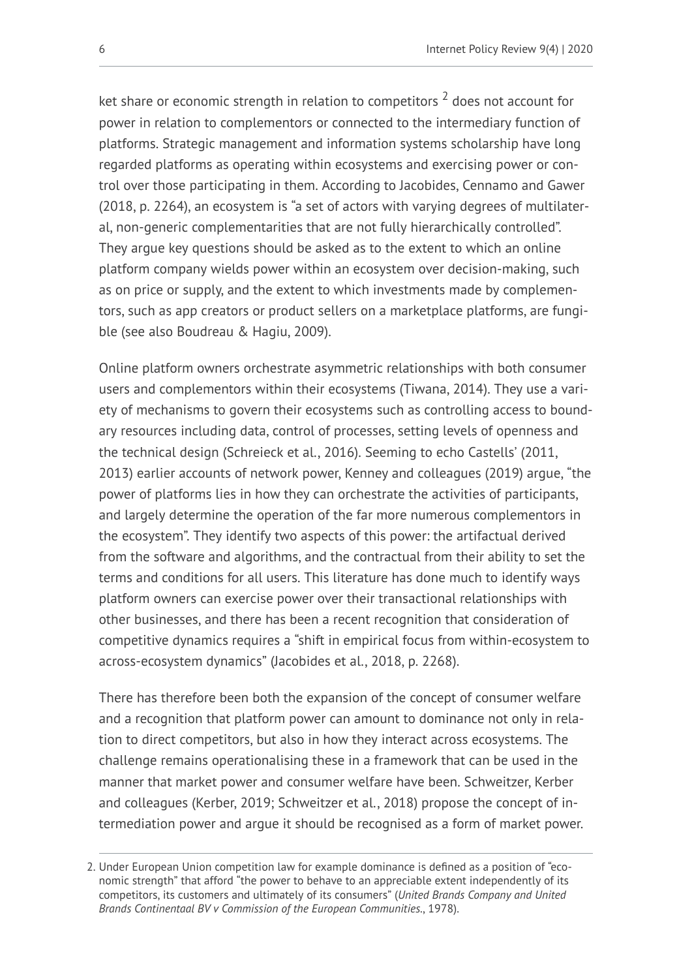ket share or economic strength in relation to competitors  $^2$  does not account for power in relation to complementors or connected to the intermediary function of platforms. Strategic management and information systems scholarship have long regarded platforms as operating within ecosystems and exercising power or control over those participating in them. According to Jacobides, Cennamo and Gawer (2018, p. 2264), an ecosystem is "a set of actors with varying degrees of multilateral, non-generic complementarities that are not fully hierarchically controlled". They argue key questions should be asked as to the extent to which an online platform company wields power within an ecosystem over decision-making, such as on price or supply, and the extent to which investments made by complementors, such as app creators or product sellers on a marketplace platforms, are fungible (see also Boudreau & Hagiu, 2009).

Online platform owners orchestrate asymmetric relationships with both consumer users and complementors within their ecosystems (Tiwana, 2014). They use a variety of mechanisms to govern their ecosystems such as controlling access to boundary resources including data, control of processes, setting levels of openness and the technical design (Schreieck et al., 2016). Seeming to echo Castells' (2011, 2013) earlier accounts of network power, Kenney and colleagues (2019) argue, "the power of platforms lies in how they can orchestrate the activities of participants, and largely determine the operation of the far more numerous complementors in the ecosystem". They identify two aspects of this power: the artifactual derived from the software and algorithms, and the contractual from their ability to set the terms and conditions for all users. This literature has done much to identify ways platform owners can exercise power over their transactional relationships with other businesses, and there has been a recent recognition that consideration of competitive dynamics requires a "shift in empirical focus from within-ecosystem to across-ecosystem dynamics" (Jacobides et al., 2018, p. 2268).

There has therefore been both the expansion of the concept of consumer welfare and a recognition that platform power can amount to dominance not only in relation to direct competitors, but also in how they interact across ecosystems. The challenge remains operationalising these in a framework that can be used in the manner that market power and consumer welfare have been. Schweitzer, Kerber and colleagues (Kerber, 2019; Schweitzer et al., 2018) propose the concept of intermediation power and argue it should be recognised as a form of market power.

<sup>2.</sup> Under European Union competition law for example dominance is defined as a position of "economic strength" that afford "the power to behave to an appreciable extent independently of its competitors, its customers and ultimately of its consumers" (*United Brands Company and United Brands Continentaal BV v Commission of the European Communities.*, 1978).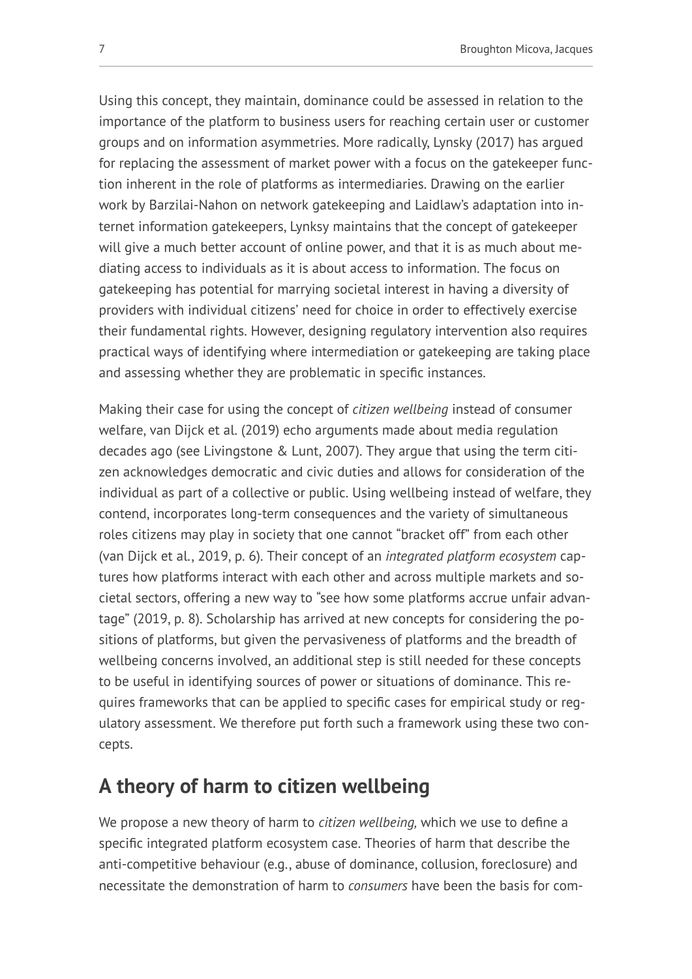Using this concept, they maintain, dominance could be assessed in relation to the importance of the platform to business users for reaching certain user or customer groups and on information asymmetries. More radically, Lynsky (2017) has argued for replacing the assessment of market power with a focus on the gatekeeper function inherent in the role of platforms as intermediaries. Drawing on the earlier work by Barzilai-Nahon on network gatekeeping and Laidlaw's adaptation into internet information gatekeepers, Lynksy maintains that the concept of gatekeeper will give a much better account of online power, and that it is as much about mediating access to individuals as it is about access to information. The focus on gatekeeping has potential for marrying societal interest in having a diversity of providers with individual citizens' need for choice in order to effectively exercise their fundamental rights. However, designing regulatory intervention also requires practical ways of identifying where intermediation or gatekeeping are taking place and assessing whether they are problematic in specific instances.

Making their case for using the concept of *citizen wellbeing* instead of consumer welfare, van Dijck et al. (2019) echo arguments made about media regulation decades ago (see Livingstone & Lunt, 2007). They argue that using the term citizen acknowledges democratic and civic duties and allows for consideration of the individual as part of a collective or public. Using wellbeing instead of welfare, they contend, incorporates long-term consequences and the variety of simultaneous roles citizens may play in society that one cannot "bracket off" from each other (van Dijck et al., 2019, p. 6). Their concept of an *integrated platform ecosystem* captures how platforms interact with each other and across multiple markets and societal sectors, offering a new way to "see how some platforms accrue unfair advantage" (2019, p. 8). Scholarship has arrived at new concepts for considering the positions of platforms, but given the pervasiveness of platforms and the breadth of wellbeing concerns involved, an additional step is still needed for these concepts to be useful in identifying sources of power or situations of dominance. This requires frameworks that can be applied to specific cases for empirical study or regulatory assessment. We therefore put forth such a framework using these two concepts.

# **A theory of harm to citizen wellbeing**

We propose a new theory of harm to *citizen wellbeing,* which we use to define a specific integrated platform ecosystem case. Theories of harm that describe the anti-competitive behaviour (e.g., abuse of dominance, collusion, foreclosure) and necessitate the demonstration of harm to *consumers* have been the basis for com-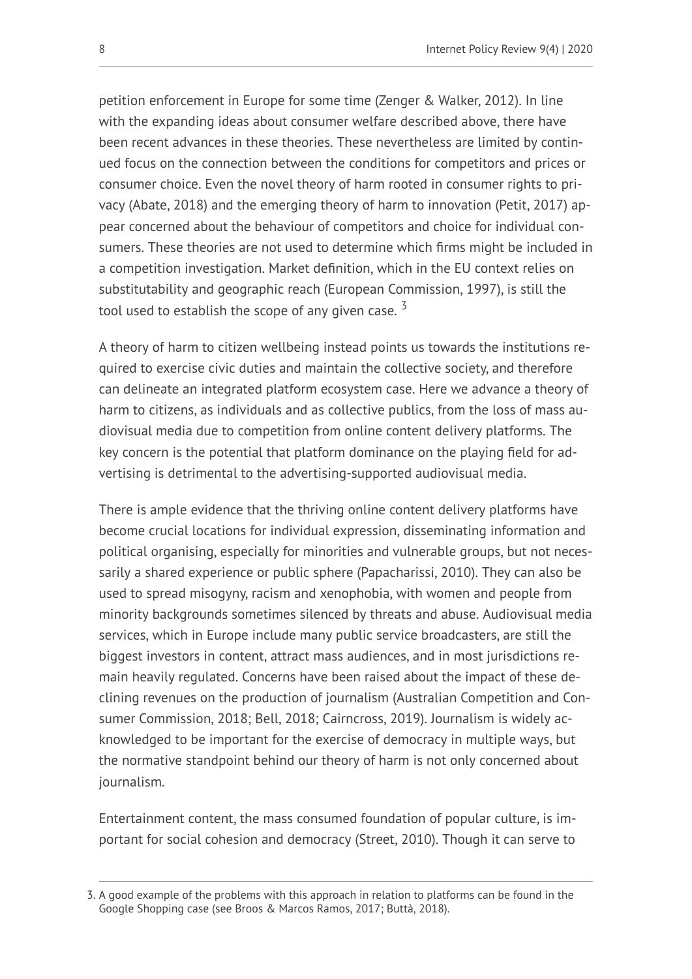petition enforcement in Europe for some time (Zenger & Walker, 2012). In line with the expanding ideas about consumer welfare described above, there have been recent advances in these theories. These nevertheless are limited by continued focus on the connection between the conditions for competitors and prices or consumer choice. Even the novel theory of harm rooted in consumer rights to privacy (Abate, 2018) and the emerging theory of harm to innovation (Petit, 2017) appear concerned about the behaviour of competitors and choice for individual consumers. These theories are not used to determine which firms might be included in a competition investigation. Market definition, which in the EU context relies on substitutability and geographic reach (European Commission, 1997), is still the tool used to establish the scope of any given case.  $3$ 

A theory of harm to citizen wellbeing instead points us towards the institutions required to exercise civic duties and maintain the collective society, and therefore can delineate an integrated platform ecosystem case. Here we advance a theory of harm to citizens, as individuals and as collective publics, from the loss of mass audiovisual media due to competition from online content delivery platforms. The key concern is the potential that platform dominance on the playing field for advertising is detrimental to the advertising-supported audiovisual media.

There is ample evidence that the thriving online content delivery platforms have become crucial locations for individual expression, disseminating information and political organising, especially for minorities and vulnerable groups, but not necessarily a shared experience or public sphere (Papacharissi, 2010). They can also be used to spread misogyny, racism and xenophobia, with women and people from minority backgrounds sometimes silenced by threats and abuse. Audiovisual media services, which in Europe include many public service broadcasters, are still the biggest investors in content, attract mass audiences, and in most jurisdictions remain heavily regulated. Concerns have been raised about the impact of these declining revenues on the production of journalism (Australian Competition and Consumer Commission, 2018; Bell, 2018; Cairncross, 2019). Journalism is widely acknowledged to be important for the exercise of democracy in multiple ways, but the normative standpoint behind our theory of harm is not only concerned about journalism.

Entertainment content, the mass consumed foundation of popular culture, is important for social cohesion and democracy (Street, 2010). Though it can serve to

<sup>3.</sup> A good example of the problems with this approach in relation to platforms can be found in the Google Shopping case (see Broos & Marcos Ramos, 2017; Buttà, 2018).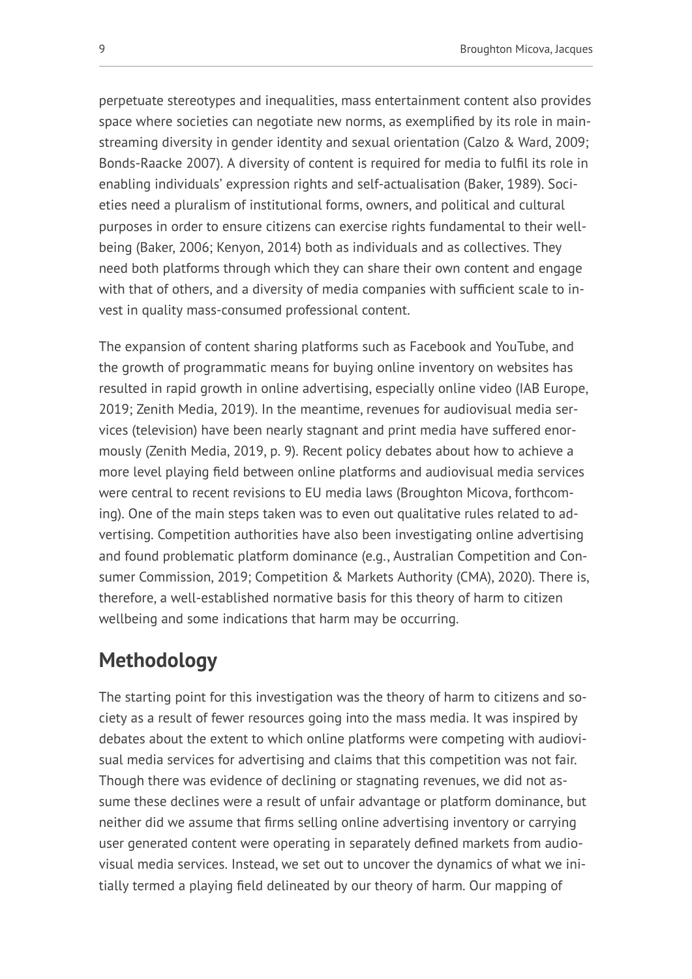perpetuate stereotypes and inequalities, mass entertainment content also provides space where societies can negotiate new norms, as exemplified by its role in mainstreaming diversity in gender identity and sexual orientation (Calzo & Ward, 2009; Bonds-Raacke 2007). A diversity of content is required for media to fulfil its role in enabling individuals' expression rights and self-actualisation (Baker, 1989). Societies need a pluralism of institutional forms, owners, and political and cultural purposes in order to ensure citizens can exercise rights fundamental to their wellbeing (Baker, 2006; Kenyon, 2014) both as individuals and as collectives. They need both platforms through which they can share their own content and engage with that of others, and a diversity of media companies with sufficient scale to invest in quality mass-consumed professional content.

The expansion of content sharing platforms such as Facebook and YouTube, and the growth of programmatic means for buying online inventory on websites has resulted in rapid growth in online advertising, especially online video (IAB Europe, 2019; Zenith Media, 2019). In the meantime, revenues for audiovisual media services (television) have been nearly stagnant and print media have suffered enormously (Zenith Media, 2019, p. 9). Recent policy debates about how to achieve a more level playing field between online platforms and audiovisual media services were central to recent revisions to EU media laws (Broughton Micova, forthcoming). One of the main steps taken was to even out qualitative rules related to advertising. Competition authorities have also been investigating online advertising and found problematic platform dominance (e.g., Australian Competition and Consumer Commission, 2019; Competition & Markets Authority (CMA), 2020). There is, therefore, a well-established normative basis for this theory of harm to citizen wellbeing and some indications that harm may be occurring.

# **Methodology**

The starting point for this investigation was the theory of harm to citizens and society as a result of fewer resources going into the mass media. It was inspired by debates about the extent to which online platforms were competing with audiovisual media services for advertising and claims that this competition was not fair. Though there was evidence of declining or stagnating revenues, we did not assume these declines were a result of unfair advantage or platform dominance, but neither did we assume that firms selling online advertising inventory or carrying user generated content were operating in separately defined markets from audiovisual media services. Instead, we set out to uncover the dynamics of what we initially termed a playing field delineated by our theory of harm. Our mapping of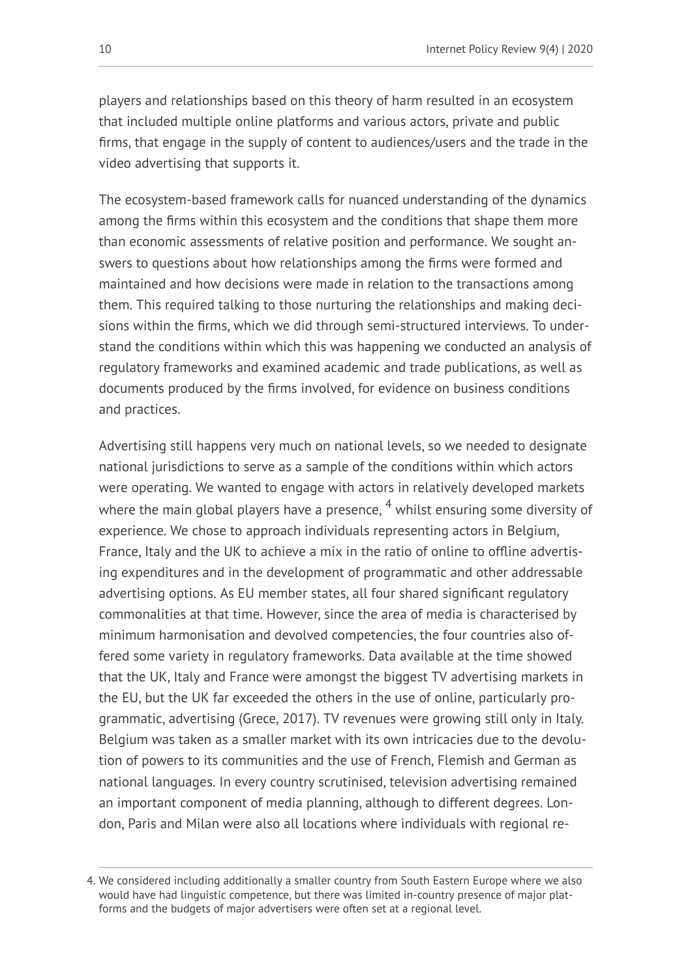players and relationships based on this theory of harm resulted in an ecosystem that included multiple online platforms and various actors, private and public firms, that engage in the supply of content to audiences/users and the trade in the video advertising that supports it.

The ecosystem-based framework calls for nuanced understanding of the dynamics among the firms within this ecosystem and the conditions that shape them more than economic assessments of relative position and performance. We sought answers to questions about how relationships among the firms were formed and maintained and how decisions were made in relation to the transactions among them. This required talking to those nurturing the relationships and making decisions within the firms, which we did through semi-structured interviews. To understand the conditions within which this was happening we conducted an analysis of regulatory frameworks and examined academic and trade publications, as well as documents produced by the firms involved, for evidence on business conditions and practices.

Advertising still happens very much on national levels, so we needed to designate national jurisdictions to serve as a sample of the conditions within which actors were operating. We wanted to engage with actors in relatively developed markets where the main global players have a presence,  $4$  whilst ensuring some diversity of experience. We chose to approach individuals representing actors in Belgium, France, Italy and the UK to achieve a mix in the ratio of online to offline advertising expenditures and in the development of programmatic and other addressable advertising options. As EU member states, all four shared significant regulatory commonalities at that time. However, since the area of media is characterised by minimum harmonisation and devolved competencies, the four countries also offered some variety in regulatory frameworks. Data available at the time showed that the UK, Italy and France were amongst the biggest TV advertising markets in the EU, but the UK far exceeded the others in the use of online, particularly programmatic, advertising (Grece, 2017). TV revenues were growing still only in Italy. Belgium was taken as a smaller market with its own intricacies due to the devolution of powers to its communities and the use of French, Flemish and German as national languages. In every country scrutinised, television advertising remained an important component of media planning, although to different degrees. London, Paris and Milan were also all locations where individuals with regional re-

<sup>4.</sup> We considered including additionally a smaller country from South Eastern Europe where we also would have had linguistic competence, but there was limited in-country presence of major platforms and the budgets of major advertisers were often set at a regional level.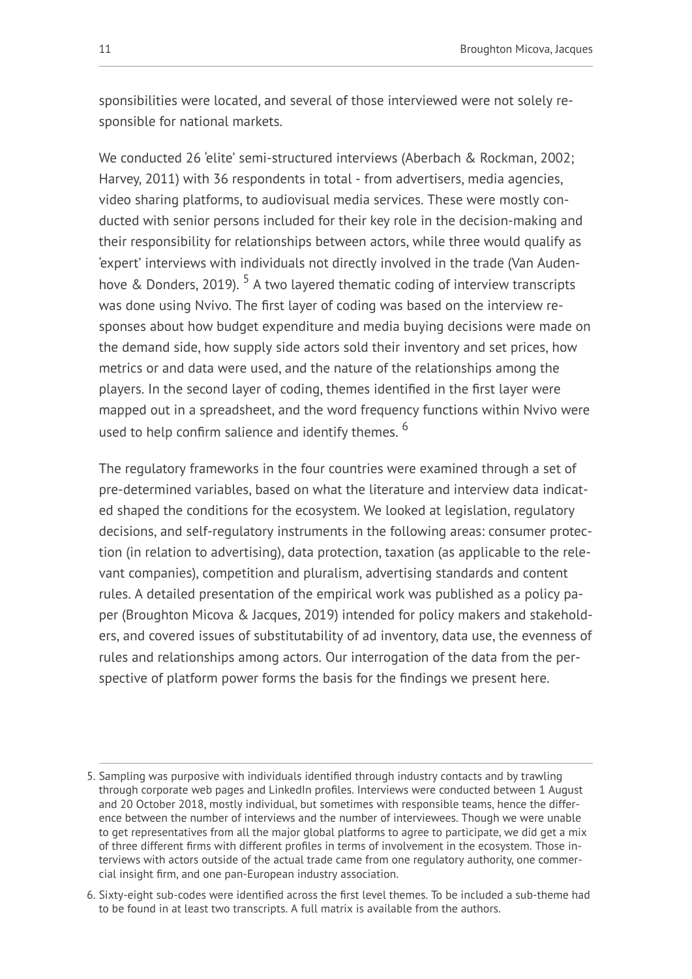sponsibilities were located, and several of those interviewed were not solely responsible for national markets.

We conducted 26 'elite' semi-structured interviews (Aberbach & Rockman, 2002; Harvey, 2011) with 36 respondents in total - from advertisers, media agencies, video sharing platforms, to audiovisual media services. These were mostly conducted with senior persons included for their key role in the decision-making and their responsibility for relationships between actors, while three would qualify as 'expert' interviews with individuals not directly involved in the trade (Van Audenhove & Donders, 2019). <sup>5</sup> A two layered thematic coding of interview transcripts was done using Nvivo. The first layer of coding was based on the interview responses about how budget expenditure and media buying decisions were made on the demand side, how supply side actors sold their inventory and set prices, how metrics or and data were used, and the nature of the relationships among the players. In the second layer of coding, themes identified in the first layer were mapped out in a spreadsheet, and the word frequency functions within Nvivo were used to help confirm salience and identify themes. <sup>6</sup>

The regulatory frameworks in the four countries were examined through a set of pre-determined variables, based on what the literature and interview data indicated shaped the conditions for the ecosystem. We looked at legislation, regulatory decisions, and self-regulatory instruments in the following areas: consumer protection (in relation to advertising), data protection, taxation (as applicable to the relevant companies), competition and pluralism, advertising standards and content rules. A detailed presentation of the empirical work was published as a policy paper (Broughton Micova & Jacques, 2019) intended for policy makers and stakeholders, and covered issues of substitutability of ad inventory, data use, the evenness of rules and relationships among actors. Our interrogation of the data from the perspective of platform power forms the basis for the findings we present here.

<sup>5.</sup> Sampling was purposive with individuals identified through industry contacts and by trawling through corporate web pages and LinkedIn profiles. Interviews were conducted between 1 August and 20 October 2018, mostly individual, but sometimes with responsible teams, hence the difference between the number of interviews and the number of interviewees. Though we were unable to get representatives from all the major global platforms to agree to participate, we did get a mix of three different firms with different profiles in terms of involvement in the ecosystem. Those interviews with actors outside of the actual trade came from one regulatory authority, one commercial insight firm, and one pan-European industry association.

<sup>6.</sup> Sixty-eight sub-codes were identified across the first level themes. To be included a sub-theme had to be found in at least two transcripts. A full matrix is available from the authors.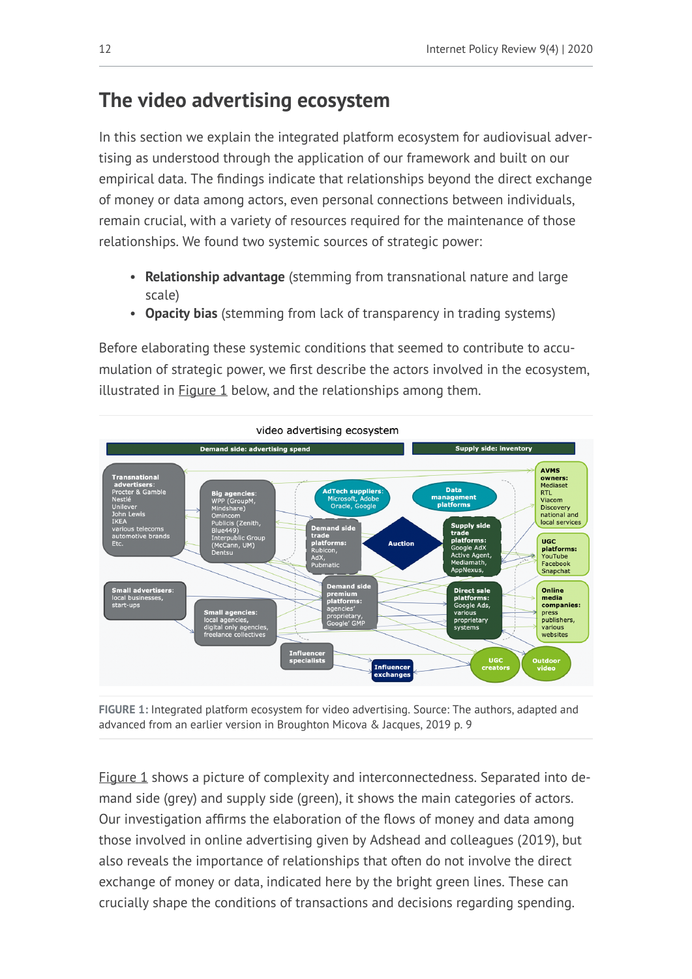# **The video advertising ecosystem**

In this section we explain the integrated platform ecosystem for audiovisual advertising as understood through the application of our framework and built on our empirical data. The findings indicate that relationships beyond the direct exchange of money or data among actors, even personal connections between individuals, remain crucial, with a variety of resources required for the maintenance of those relationships. We found two systemic sources of strategic power:

- **Relationship advantage** (stemming from transnational nature and large scale)
- **Opacity bias** (stemming from lack of transparency in trading systems)

Before elaborating these systemic conditions that seemed to contribute to accumulation of strategic power, we first describe the actors involved in the ecosystem, illustrated in  $Figure 1$  below, and the relationships among them.

<span id="page-11-0"></span>

**FIGURE 1:** Integrated platform ecosystem for video advertising. Source: The authors, adapted and advanced from an earlier version in Broughton Micova & Jacques, 2019 p. 9

[Figure 1](#page-11-0) shows a picture of complexity and interconnectedness. Separated into demand side (grey) and supply side (green), it shows the main categories of actors. Our investigation affirms the elaboration of the flows of money and data among those involved in online advertising given by Adshead and colleagues (2019), but also reveals the importance of relationships that often do not involve the direct exchange of money or data, indicated here by the bright green lines. These can crucially shape the conditions of transactions and decisions regarding spending.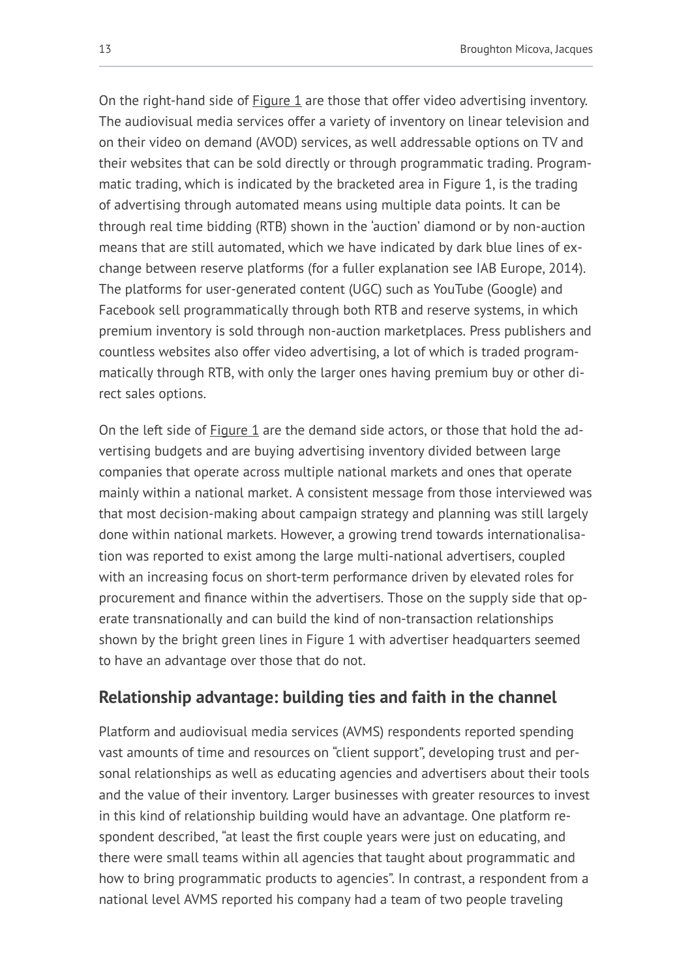On the right-hand side of **Figure 1** are those that offer video advertising inventory. The audiovisual media services offer a variety of inventory on linear television and on their video on demand (AVOD) services, as well addressable options on TV and their websites that can be sold directly or through programmatic trading. Programmatic trading, which is indicated by the bracketed area in Figure 1, is the trading of advertising through automated means using multiple data points. It can be through real time bidding (RTB) shown in the 'auction' diamond or by non-auction means that are still automated, which we have indicated by dark blue lines of exchange between reserve platforms (for a fuller explanation see IAB Europe, 2014). The platforms for user-generated content (UGC) such as YouTube (Google) and Facebook sell programmatically through both RTB and reserve systems, in which premium inventory is sold through non-auction marketplaces. Press publishers and countless websites also offer video advertising, a lot of which is traded programmatically through RTB, with only the larger ones having premium buy or other direct sales options.

On the left side of [Figure 1](#page-11-0) are the demand side actors, or those that hold the advertising budgets and are buying advertising inventory divided between large companies that operate across multiple national markets and ones that operate mainly within a national market. A consistent message from those interviewed was that most decision-making about campaign strategy and planning was still largely done within national markets. However, a growing trend towards internationalisation was reported to exist among the large multi-national advertisers, coupled with an increasing focus on short-term performance driven by elevated roles for procurement and finance within the advertisers. Those on the supply side that operate transnationally and can build the kind of non-transaction relationships shown by the bright green lines in Figure 1 with advertiser headquarters seemed to have an advantage over those that do not.

### **Relationship advantage: building ties and faith in the channel**

Platform and audiovisual media services (AVMS) respondents reported spending vast amounts of time and resources on "client support", developing trust and personal relationships as well as educating agencies and advertisers about their tools and the value of their inventory. Larger businesses with greater resources to invest in this kind of relationship building would have an advantage. One platform respondent described, "at least the first couple years were just on educating, and there were small teams within all agencies that taught about programmatic and how to bring programmatic products to agencies". In contrast, a respondent from a national level AVMS reported his company had a team of two people traveling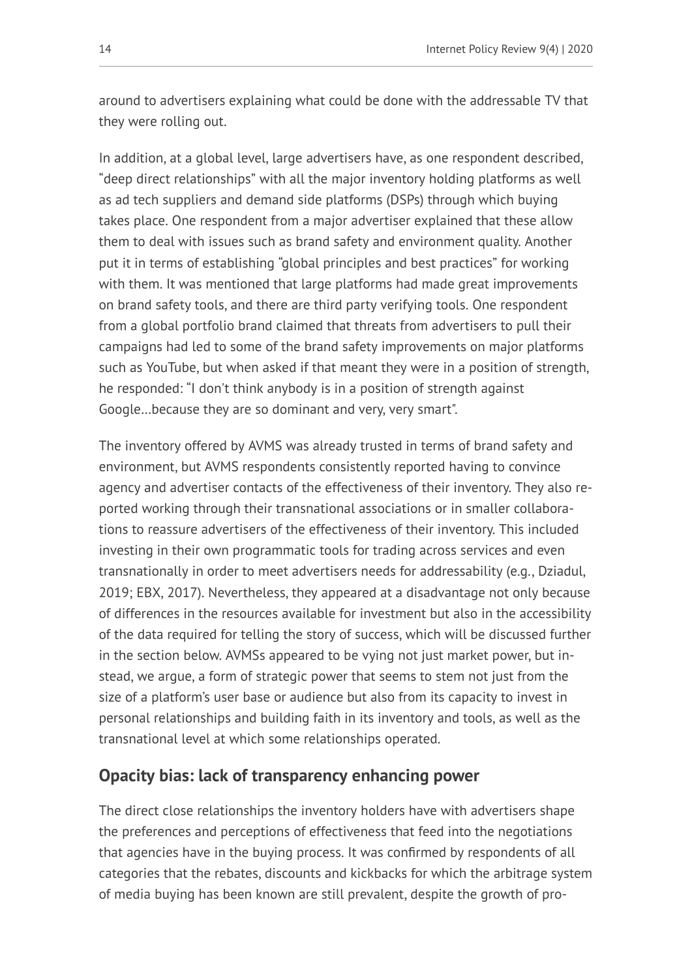around to advertisers explaining what could be done with the addressable TV that they were rolling out.

In addition, at a global level, large advertisers have, as one respondent described, "deep direct relationships" with all the major inventory holding platforms as well as ad tech suppliers and demand side platforms (DSPs) through which buying takes place. One respondent from a major advertiser explained that these allow them to deal with issues such as brand safety and environment quality. Another put it in terms of establishing "global principles and best practices" for working with them. It was mentioned that large platforms had made great improvements on brand safety tools, and there are third party verifying tools. One respondent from a global portfolio brand claimed that threats from advertisers to pull their campaigns had led to some of the brand safety improvements on major platforms such as YouTube, but when asked if that meant they were in a position of strength, he responded: "I don't think anybody is in a position of strength against Google…because they are so dominant and very, very smart".

The inventory offered by AVMS was already trusted in terms of brand safety and environment, but AVMS respondents consistently reported having to convince agency and advertiser contacts of the effectiveness of their inventory. They also reported working through their transnational associations or in smaller collaborations to reassure advertisers of the effectiveness of their inventory. This included investing in their own programmatic tools for trading across services and even transnationally in order to meet advertisers needs for addressability (e.g., Dziadul, 2019; EBX, 2017). Nevertheless, they appeared at a disadvantage not only because of differences in the resources available for investment but also in the accessibility of the data required for telling the story of success, which will be discussed further in the section below. AVMSs appeared to be vying not just market power, but instead, we argue, a form of strategic power that seems to stem not just from the size of a platform's user base or audience but also from its capacity to invest in personal relationships and building faith in its inventory and tools, as well as the transnational level at which some relationships operated.

### **Opacity bias: lack of transparency enhancing power**

The direct close relationships the inventory holders have with advertisers shape the preferences and perceptions of effectiveness that feed into the negotiations that agencies have in the buying process. It was confirmed by respondents of all categories that the rebates, discounts and kickbacks for which the arbitrage system of media buying has been known are still prevalent, despite the growth of pro-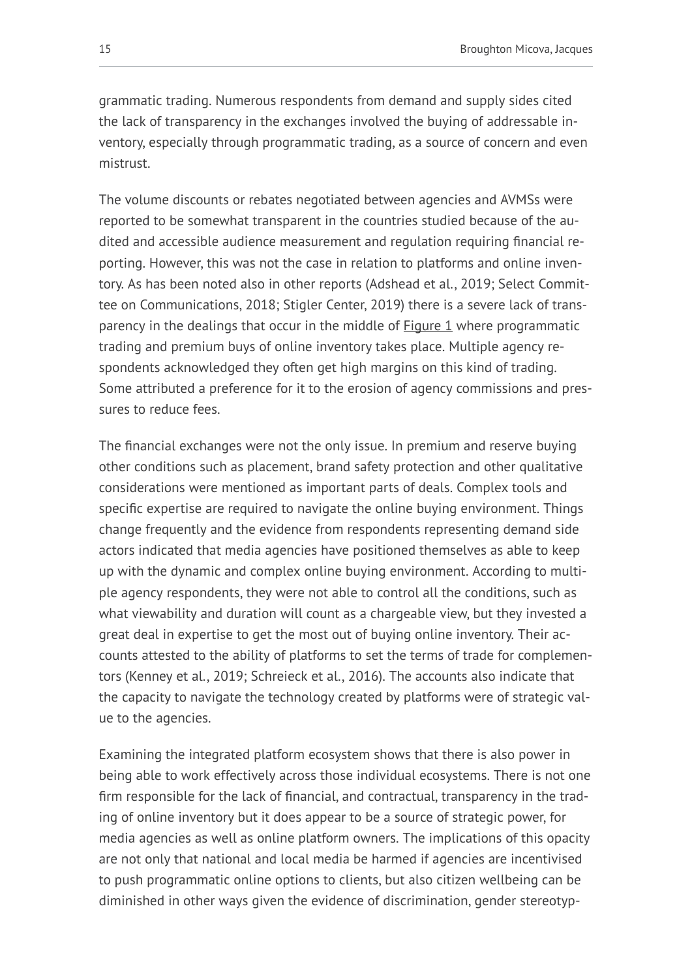grammatic trading. Numerous respondents from demand and supply sides cited the lack of transparency in the exchanges involved the buying of addressable inventory, especially through programmatic trading, as a source of concern and even mistrust.

The volume discounts or rebates negotiated between agencies and AVMSs were reported to be somewhat transparent in the countries studied because of the audited and accessible audience measurement and regulation requiring financial reporting. However, this was not the case in relation to platforms and online inventory. As has been noted also in other reports (Adshead et al., 2019; Select Committee on Communications, 2018; Stigler Center, 2019) there is a severe lack of transparency in the dealings that occur in the middle of [Figure 1](#page-11-0) where programmatic trading and premium buys of online inventory takes place. Multiple agency respondents acknowledged they often get high margins on this kind of trading. Some attributed a preference for it to the erosion of agency commissions and pressures to reduce fees.

The financial exchanges were not the only issue. In premium and reserve buying other conditions such as placement, brand safety protection and other qualitative considerations were mentioned as important parts of deals. Complex tools and specific expertise are required to navigate the online buying environment. Things change frequently and the evidence from respondents representing demand side actors indicated that media agencies have positioned themselves as able to keep up with the dynamic and complex online buying environment. According to multiple agency respondents, they were not able to control all the conditions, such as what viewability and duration will count as a chargeable view, but they invested a great deal in expertise to get the most out of buying online inventory. Their accounts attested to the ability of platforms to set the terms of trade for complementors (Kenney et al., 2019; Schreieck et al., 2016). The accounts also indicate that the capacity to navigate the technology created by platforms were of strategic value to the agencies.

Examining the integrated platform ecosystem shows that there is also power in being able to work effectively across those individual ecosystems. There is not one firm responsible for the lack of financial, and contractual, transparency in the trading of online inventory but it does appear to be a source of strategic power, for media agencies as well as online platform owners. The implications of this opacity are not only that national and local media be harmed if agencies are incentivised to push programmatic online options to clients, but also citizen wellbeing can be diminished in other ways given the evidence of discrimination, gender stereotyp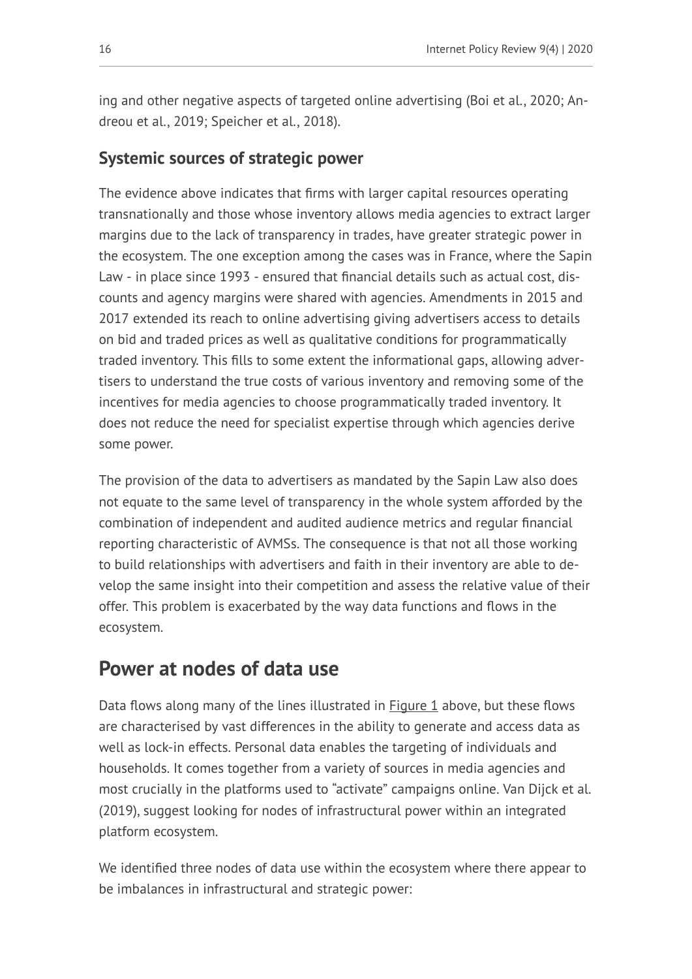ing and other negative aspects of targeted online advertising (Boi et al., 2020; Andreou et al., 2019; Speicher et al., 2018).

### **Systemic sources of strategic power**

The evidence above indicates that firms with larger capital resources operating transnationally and those whose inventory allows media agencies to extract larger margins due to the lack of transparency in trades, have greater strategic power in the ecosystem. The one exception among the cases was in France, where the Sapin Law - in place since 1993 - ensured that financial details such as actual cost, discounts and agency margins were shared with agencies. Amendments in 2015 and 2017 extended its reach to online advertising giving advertisers access to details on bid and traded prices as well as qualitative conditions for programmatically traded inventory. This fills to some extent the informational gaps, allowing advertisers to understand the true costs of various inventory and removing some of the incentives for media agencies to choose programmatically traded inventory. It does not reduce the need for specialist expertise through which agencies derive some power.

The provision of the data to advertisers as mandated by the Sapin Law also does not equate to the same level of transparency in the whole system afforded by the combination of independent and audited audience metrics and regular financial reporting characteristic of AVMSs. The consequence is that not all those working to build relationships with advertisers and faith in their inventory are able to develop the same insight into their competition and assess the relative value of their offer. This problem is exacerbated by the way data functions and flows in the ecosystem.

## **Power at nodes of data use**

Data flows along many of the lines illustrated in  $Figure 1$  above, but these flows are characterised by vast differences in the ability to generate and access data as well as lock-in effects. Personal data enables the targeting of individuals and households. It comes together from a variety of sources in media agencies and most crucially in the platforms used to "activate" campaigns online. Van Dijck et al. (2019), suggest looking for nodes of infrastructural power within an integrated platform ecosystem.

We identified three nodes of data use within the ecosystem where there appear to be imbalances in infrastructural and strategic power: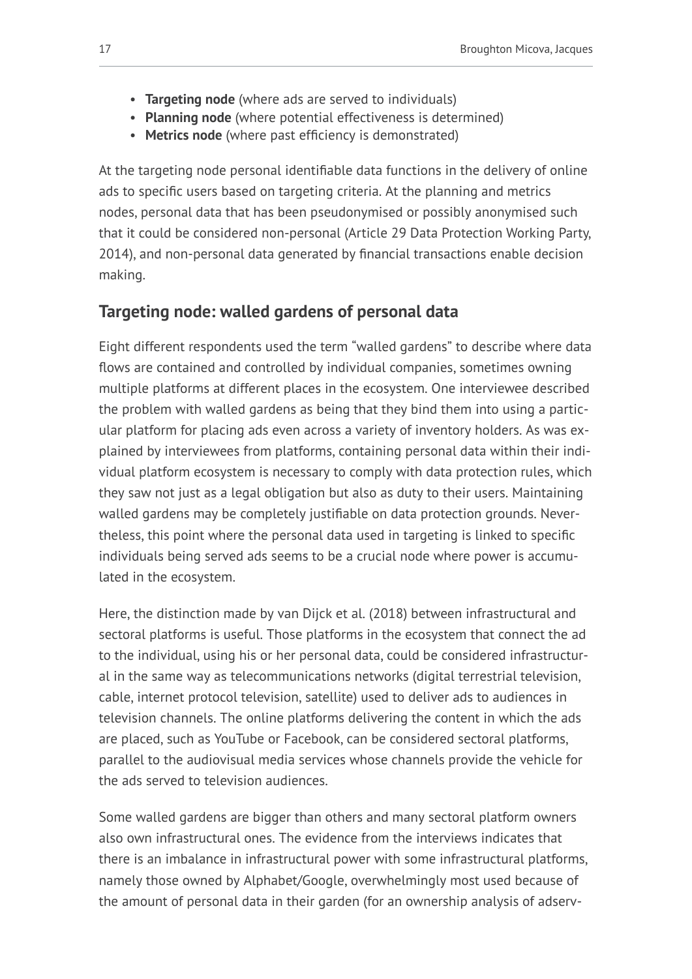- **Targeting node** (where ads are served to individuals)
- **Planning node** (where potential effectiveness is determined)
- **Metrics node** (where past efficiency is demonstrated)

At the targeting node personal identifiable data functions in the delivery of online ads to specific users based on targeting criteria. At the planning and metrics nodes, personal data that has been pseudonymised or possibly anonymised such that it could be considered non-personal (Article 29 Data Protection Working Party, 2014), and non-personal data generated by financial transactions enable decision making.

## **Targeting node: walled gardens of personal data**

Eight different respondents used the term "walled gardens" to describe where data flows are contained and controlled by individual companies, sometimes owning multiple platforms at different places in the ecosystem. One interviewee described the problem with walled gardens as being that they bind them into using a particular platform for placing ads even across a variety of inventory holders. As was explained by interviewees from platforms, containing personal data within their individual platform ecosystem is necessary to comply with data protection rules, which they saw not just as a legal obligation but also as duty to their users. Maintaining walled gardens may be completely justifiable on data protection grounds. Nevertheless, this point where the personal data used in targeting is linked to specific individuals being served ads seems to be a crucial node where power is accumulated in the ecosystem.

Here, the distinction made by van Dijck et al. (2018) between infrastructural and sectoral platforms is useful. Those platforms in the ecosystem that connect the ad to the individual, using his or her personal data, could be considered infrastructural in the same way as telecommunications networks (digital terrestrial television, cable, internet protocol television, satellite) used to deliver ads to audiences in television channels. The online platforms delivering the content in which the ads are placed, such as YouTube or Facebook, can be considered sectoral platforms, parallel to the audiovisual media services whose channels provide the vehicle for the ads served to television audiences.

Some walled gardens are bigger than others and many sectoral platform owners also own infrastructural ones. The evidence from the interviews indicates that there is an imbalance in infrastructural power with some infrastructural platforms, namely those owned by Alphabet/Google, overwhelmingly most used because of the amount of personal data in their garden (for an ownership analysis of adserv-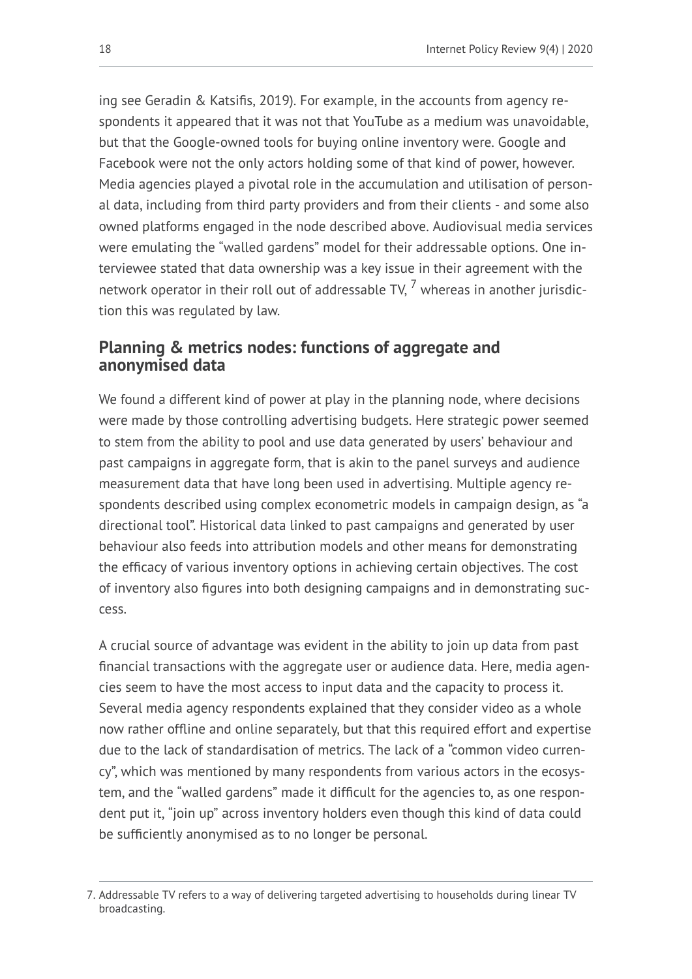ing see Geradin & Katsifis, 2019). For example, in the accounts from agency respondents it appeared that it was not that YouTube as a medium was unavoidable, but that the Google-owned tools for buying online inventory were. Google and Facebook were not the only actors holding some of that kind of power, however. Media agencies played a pivotal role in the accumulation and utilisation of personal data, including from third party providers and from their clients - and some also owned platforms engaged in the node described above. Audiovisual media services were emulating the "walled gardens" model for their addressable options. One interviewee stated that data ownership was a key issue in their agreement with the network operator in their roll out of addressable TV,  $^7$  whereas in another jurisdiction this was regulated by law.

### **Planning & metrics nodes: functions of aggregate and anonymised data**

We found a different kind of power at play in the planning node, where decisions were made by those controlling advertising budgets. Here strategic power seemed to stem from the ability to pool and use data generated by users' behaviour and past campaigns in aggregate form, that is akin to the panel surveys and audience measurement data that have long been used in advertising. Multiple agency respondents described using complex econometric models in campaign design, as "a directional tool". Historical data linked to past campaigns and generated by user behaviour also feeds into attribution models and other means for demonstrating the efficacy of various inventory options in achieving certain objectives. The cost of inventory also figures into both designing campaigns and in demonstrating success.

A crucial source of advantage was evident in the ability to join up data from past financial transactions with the aggregate user or audience data. Here, media agencies seem to have the most access to input data and the capacity to process it. Several media agency respondents explained that they consider video as a whole now rather offline and online separately, but that this required effort and expertise due to the lack of standardisation of metrics. The lack of a "common video currency", which was mentioned by many respondents from various actors in the ecosystem, and the "walled gardens" made it difficult for the agencies to, as one respondent put it, "join up" across inventory holders even though this kind of data could be sufficiently anonymised as to no longer be personal.

<sup>7.</sup> Addressable TV refers to a way of delivering targeted advertising to households during linear TV broadcasting.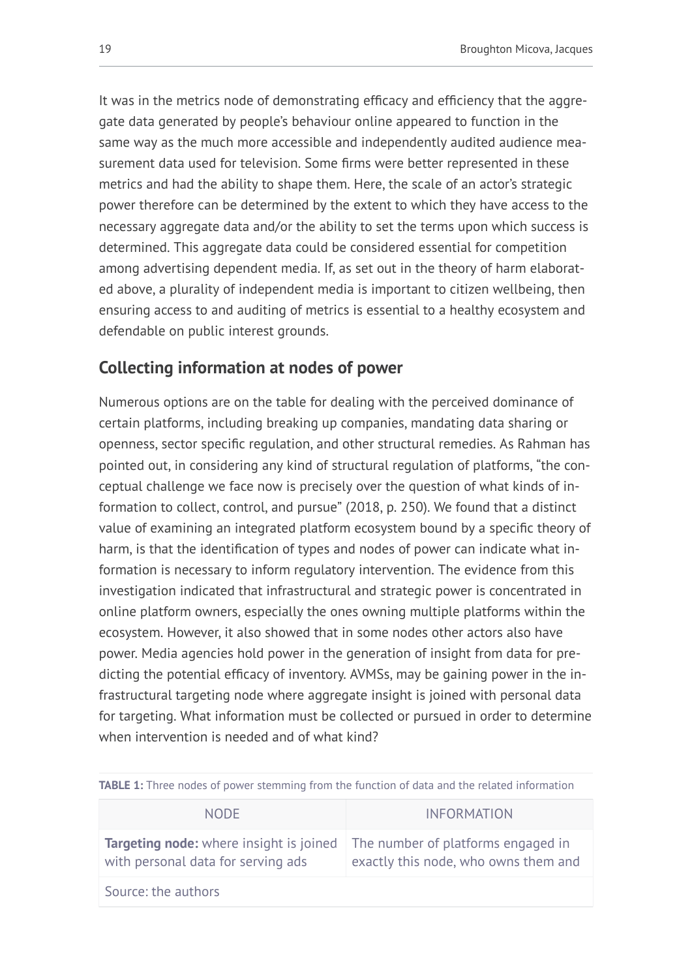It was in the metrics node of demonstrating efficacy and efficiency that the aggregate data generated by people's behaviour online appeared to function in the same way as the much more accessible and independently audited audience measurement data used for television. Some firms were better represented in these metrics and had the ability to shape them. Here, the scale of an actor's strategic power therefore can be determined by the extent to which they have access to the necessary aggregate data and/or the ability to set the terms upon which success is determined. This aggregate data could be considered essential for competition among advertising dependent media. If, as set out in the theory of harm elaborated above, a plurality of independent media is important to citizen wellbeing, then ensuring access to and auditing of metrics is essential to a healthy ecosystem and defendable on public interest grounds.

## **Collecting information at nodes of power**

Numerous options are on the table for dealing with the perceived dominance of certain platforms, including breaking up companies, mandating data sharing or openness, sector specific regulation, and other structural remedies. As Rahman has pointed out, in considering any kind of structural regulation of platforms, "the conceptual challenge we face now is precisely over the question of what kinds of information to collect, control, and pursue" (2018, p. 250). We found that a distinct value of examining an integrated platform ecosystem bound by a specific theory of harm, is that the identification of types and nodes of power can indicate what information is necessary to inform regulatory intervention. The evidence from this investigation indicated that infrastructural and strategic power is concentrated in online platform owners, especially the ones owning multiple platforms within the ecosystem. However, it also showed that in some nodes other actors also have power. Media agencies hold power in the generation of insight from data for predicting the potential efficacy of inventory. AVMSs, may be gaining power in the infrastructural targeting node where aggregate insight is joined with personal data for targeting. What information must be collected or pursued in order to determine when intervention is needed and of what kind?

| <b>NODE</b>                                                                          | <b>INFORMATION</b>                                                         |  |
|--------------------------------------------------------------------------------------|----------------------------------------------------------------------------|--|
| <b>Targeting node:</b> where insight is joined<br>with personal data for serving ads | The number of platforms engaged in<br>exactly this node, who owns them and |  |
| Source: the authors                                                                  |                                                                            |  |

<span id="page-18-0"></span>**TABLE 1:** Three nodes of power stemming from the function of data and the related information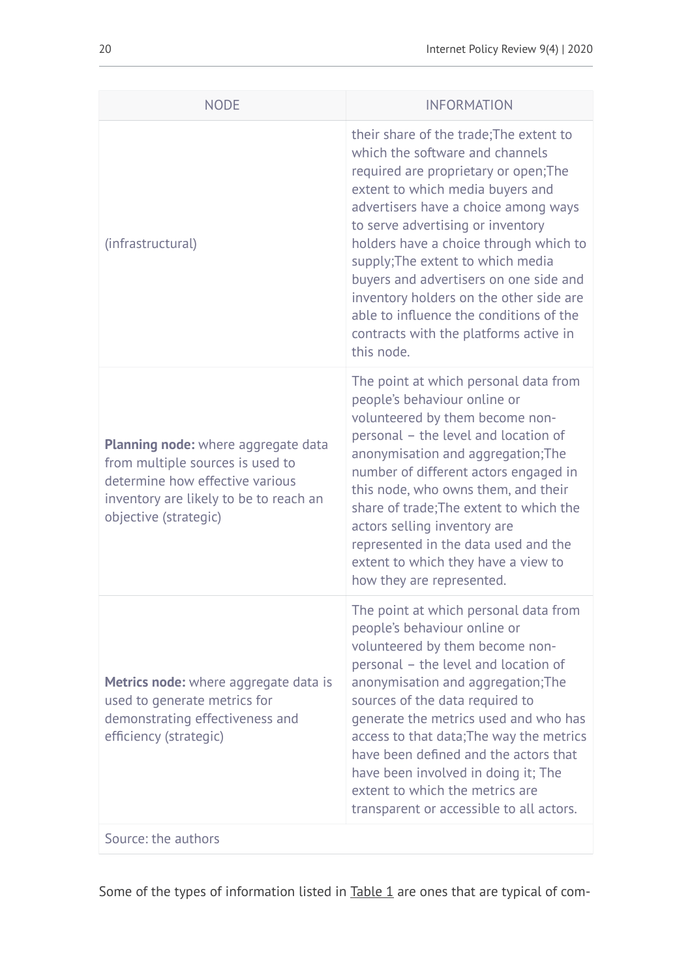| <b>NODE</b>                                                                                                                                                                          | <b>INFORMATION</b>                                                                                                                                                                                                                                                                                                                                                                                                                                                                                          |
|--------------------------------------------------------------------------------------------------------------------------------------------------------------------------------------|-------------------------------------------------------------------------------------------------------------------------------------------------------------------------------------------------------------------------------------------------------------------------------------------------------------------------------------------------------------------------------------------------------------------------------------------------------------------------------------------------------------|
| (infrastructural)                                                                                                                                                                    | their share of the trade; The extent to<br>which the software and channels<br>required are proprietary or open; The<br>extent to which media buyers and<br>advertisers have a choice among ways<br>to serve advertising or inventory<br>holders have a choice through which to<br>supply; The extent to which media<br>buyers and advertisers on one side and<br>inventory holders on the other side are<br>able to influence the conditions of the<br>contracts with the platforms active in<br>this node. |
| <b>Planning node:</b> where aggregate data<br>from multiple sources is used to<br>determine how effective various<br>inventory are likely to be to reach an<br>objective (strategic) | The point at which personal data from<br>people's behaviour online or<br>volunteered by them become non-<br>personal - the level and location of<br>anonymisation and aggregation; The<br>number of different actors engaged in<br>this node, who owns them, and their<br>share of trade; The extent to which the<br>actors selling inventory are<br>represented in the data used and the<br>extent to which they have a view to<br>how they are represented.                                               |
| <b>Metrics node:</b> where aggregate data is<br>used to generate metrics for<br>demonstrating effectiveness and<br>efficiency (strategic)                                            | The point at which personal data from<br>people's behaviour online or<br>volunteered by them become non-<br>personal - the level and location of<br>anonymisation and aggregation; The<br>sources of the data required to<br>generate the metrics used and who has<br>access to that data; The way the metrics<br>have been defined and the actors that<br>have been involved in doing it; The<br>extent to which the metrics are<br>transparent or accessible to all actors.                               |
| Source: the authors                                                                                                                                                                  |                                                                                                                                                                                                                                                                                                                                                                                                                                                                                                             |

Some of the types of information listed in **[Table 1](#page-18-0)** are ones that are typical of com-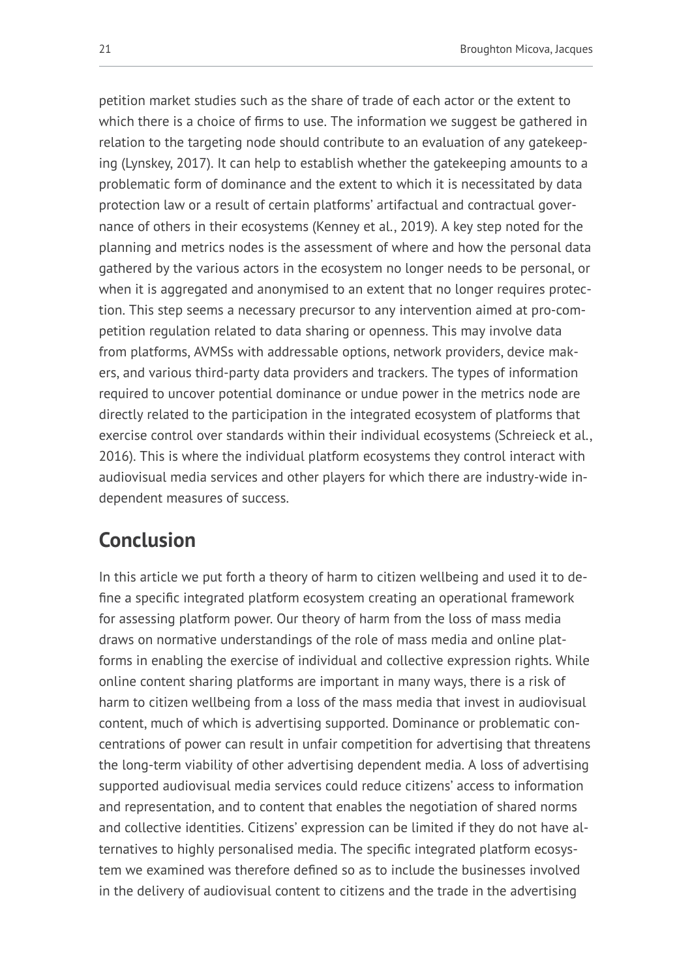petition market studies such as the share of trade of each actor or the extent to which there is a choice of firms to use. The information we suggest be gathered in relation to the targeting node should contribute to an evaluation of any gatekeeping (Lynskey, 2017). It can help to establish whether the gatekeeping amounts to a problematic form of dominance and the extent to which it is necessitated by data protection law or a result of certain platforms' artifactual and contractual governance of others in their ecosystems (Kenney et al., 2019). A key step noted for the planning and metrics nodes is the assessment of where and how the personal data gathered by the various actors in the ecosystem no longer needs to be personal, or when it is aggregated and anonymised to an extent that no longer requires protection. This step seems a necessary precursor to any intervention aimed at pro-competition regulation related to data sharing or openness. This may involve data from platforms, AVMSs with addressable options, network providers, device makers, and various third-party data providers and trackers. The types of information required to uncover potential dominance or undue power in the metrics node are directly related to the participation in the integrated ecosystem of platforms that exercise control over standards within their individual ecosystems (Schreieck et al., 2016). This is where the individual platform ecosystems they control interact with audiovisual media services and other players for which there are industry-wide independent measures of success.

# **Conclusion**

In this article we put forth a theory of harm to citizen wellbeing and used it to define a specific integrated platform ecosystem creating an operational framework for assessing platform power. Our theory of harm from the loss of mass media draws on normative understandings of the role of mass media and online platforms in enabling the exercise of individual and collective expression rights. While online content sharing platforms are important in many ways, there is a risk of harm to citizen wellbeing from a loss of the mass media that invest in audiovisual content, much of which is advertising supported. Dominance or problematic concentrations of power can result in unfair competition for advertising that threatens the long-term viability of other advertising dependent media. A loss of advertising supported audiovisual media services could reduce citizens' access to information and representation, and to content that enables the negotiation of shared norms and collective identities. Citizens' expression can be limited if they do not have alternatives to highly personalised media. The specific integrated platform ecosystem we examined was therefore defined so as to include the businesses involved in the delivery of audiovisual content to citizens and the trade in the advertising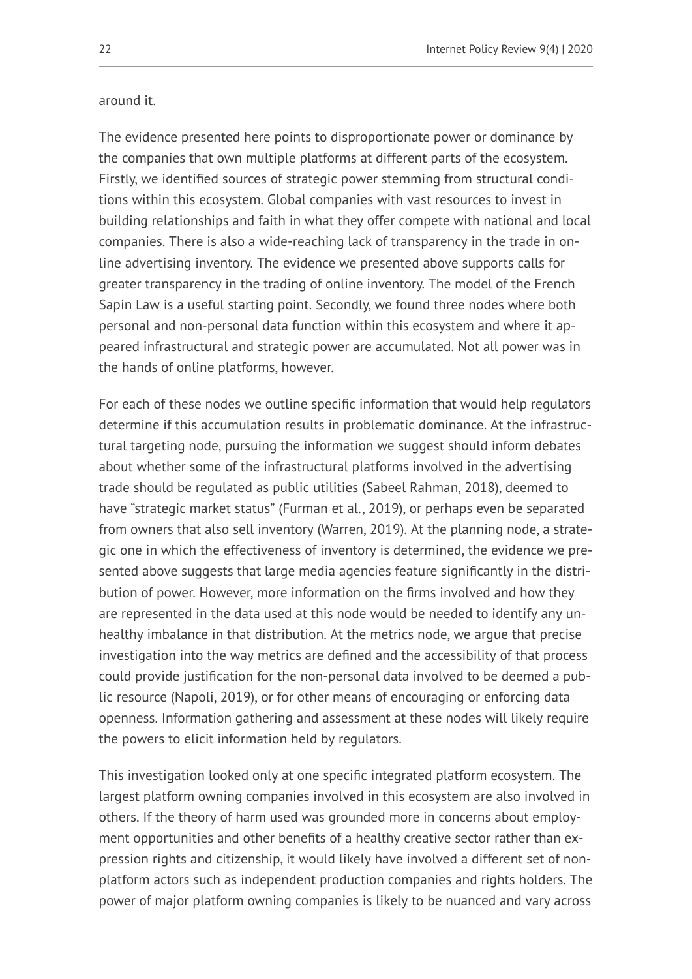#### around it.

The evidence presented here points to disproportionate power or dominance by the companies that own multiple platforms at different parts of the ecosystem. Firstly, we identified sources of strategic power stemming from structural conditions within this ecosystem. Global companies with vast resources to invest in building relationships and faith in what they offer compete with national and local companies. There is also a wide-reaching lack of transparency in the trade in online advertising inventory. The evidence we presented above supports calls for greater transparency in the trading of online inventory. The model of the French Sapin Law is a useful starting point. Secondly, we found three nodes where both personal and non-personal data function within this ecosystem and where it appeared infrastructural and strategic power are accumulated. Not all power was in the hands of online platforms, however.

For each of these nodes we outline specific information that would help regulators determine if this accumulation results in problematic dominance. At the infrastructural targeting node, pursuing the information we suggest should inform debates about whether some of the infrastructural platforms involved in the advertising trade should be regulated as public utilities (Sabeel Rahman, 2018), deemed to have "strategic market status" (Furman et al., 2019), or perhaps even be separated from owners that also sell inventory (Warren, 2019). At the planning node, a strategic one in which the effectiveness of inventory is determined, the evidence we presented above suggests that large media agencies feature significantly in the distribution of power. However, more information on the firms involved and how they are represented in the data used at this node would be needed to identify any unhealthy imbalance in that distribution. At the metrics node, we argue that precise investigation into the way metrics are defined and the accessibility of that process could provide justification for the non-personal data involved to be deemed a public resource (Napoli, 2019), or for other means of encouraging or enforcing data openness. Information gathering and assessment at these nodes will likely require the powers to elicit information held by regulators.

This investigation looked only at one specific integrated platform ecosystem. The largest platform owning companies involved in this ecosystem are also involved in others. If the theory of harm used was grounded more in concerns about employment opportunities and other benefits of a healthy creative sector rather than expression rights and citizenship, it would likely have involved a different set of nonplatform actors such as independent production companies and rights holders. The power of major platform owning companies is likely to be nuanced and vary across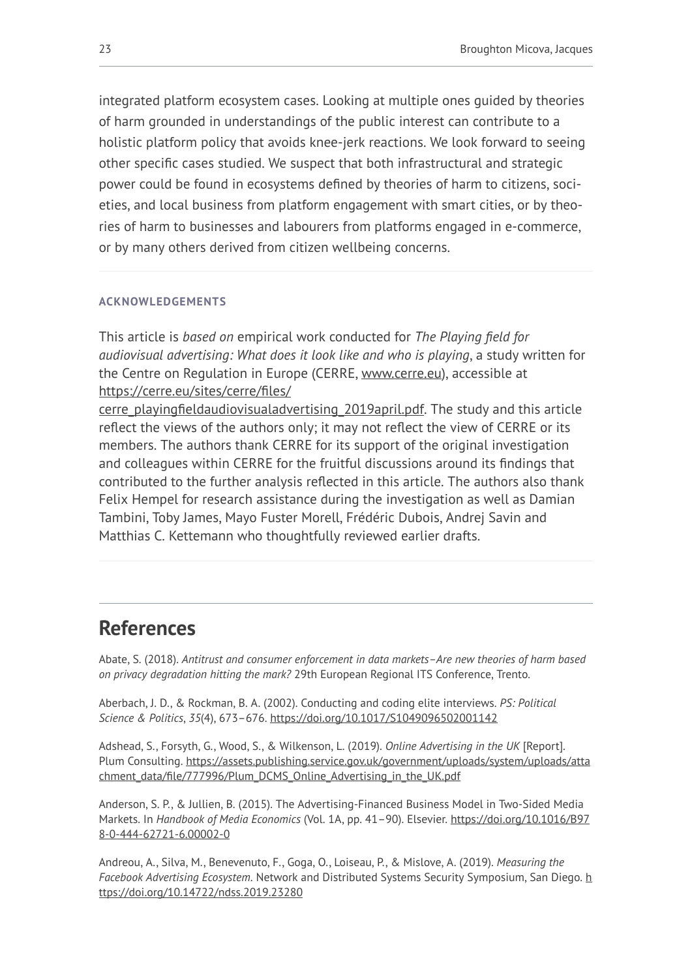integrated platform ecosystem cases. Looking at multiple ones guided by theories of harm grounded in understandings of the public interest can contribute to a holistic platform policy that avoids knee-jerk reactions. We look forward to seeing other specific cases studied. We suspect that both infrastructural and strategic power could be found in ecosystems defined by theories of harm to citizens, societies, and local business from platform engagement with smart cities, or by theories of harm to businesses and labourers from platforms engaged in e-commerce, or by many others derived from citizen wellbeing concerns.

#### **ACKNOWLEDGEMENTS**

This article is *based on* empirical work conducted for *The Playing field for audiovisual advertising: What does it look like and who is playing*, a study written for the Centre on Regulation in Europe (CERRE, [www.cerre.eu](http://www.cerre.eu/)), accessible at [https://cerre.eu/sites/cerre/files/](https://cerre.eu/sites/cerre/files/cerre_playingfieldaudiovisualadvertising_2019april.pdf)

[cerre\\_playingfieldaudiovisualadvertising\\_2019april.pdf.](https://cerre.eu/sites/cerre/files/cerre_playingfieldaudiovisualadvertising_2019april.pdf) The study and this article reflect the views of the authors only; it may not reflect the view of CERRE or its members. The authors thank CERRE for its support of the original investigation and colleagues within CERRE for the fruitful discussions around its findings that contributed to the further analysis reflected in this article. The authors also thank Felix Hempel for research assistance during the investigation as well as Damian Tambini, Toby James, Mayo Fuster Morell, Frédéric Dubois, Andrej Savin and Matthias C. Kettemann who thoughtfully reviewed earlier drafts.

## **References**

Abate, S. (2018). *Antitrust and consumer enforcement in data markets–Are new theories of harm based on privacy degradation hitting the mark?* 29th European Regional ITS Conference, Trento.

Aberbach, J. D., & Rockman, B. A. (2002). Conducting and coding elite interviews. *PS: Political Science & Politics*, *35*(4), 673–676. <https://doi.org/10.1017/S1049096502001142>

Adshead, S., Forsyth, G., Wood, S., & Wilkenson, L. (2019). *Online Advertising in the UK* [Report]. Plum Consulting. [https://assets.publishing.service.gov.uk/government/uploads/system/uploads/atta](https://assets.publishing.service.gov.uk/government/uploads/system/uploads/attachment_data/file/777996/Plum_DCMS_Online_Advertising_in_the_UK.pdf) [chment\\_data/file/777996/Plum\\_DCMS\\_Online\\_Advertising\\_in\\_the\\_UK.pdf](https://assets.publishing.service.gov.uk/government/uploads/system/uploads/attachment_data/file/777996/Plum_DCMS_Online_Advertising_in_the_UK.pdf)

Anderson, S. P., & Jullien, B. (2015). The Advertising-Financed Business Model in Two-Sided Media Markets. In *Handbook of Media Economics* (Vol. 1A, pp. 41–90). Elsevier. [https://doi.org/10.1016/B97](https://doi.org/10.1016/B978-0-444-62721-6.00002-0) [8-0-444-62721-6.00002-0](https://doi.org/10.1016/B978-0-444-62721-6.00002-0) 

Andreou, A., Silva, M., Benevenuto, F., Goga, O., Loiseau, P., & Mislove, A. (2019). *Measuring the Facebook Advertising Ecosystem*. Network and Distributed Systems Security Symposium, San Diego. [h](https://doi.org/10.14722/ndss.2019.23280) [ttps://doi.org/10.14722/ndss.2019.23280](https://doi.org/10.14722/ndss.2019.23280)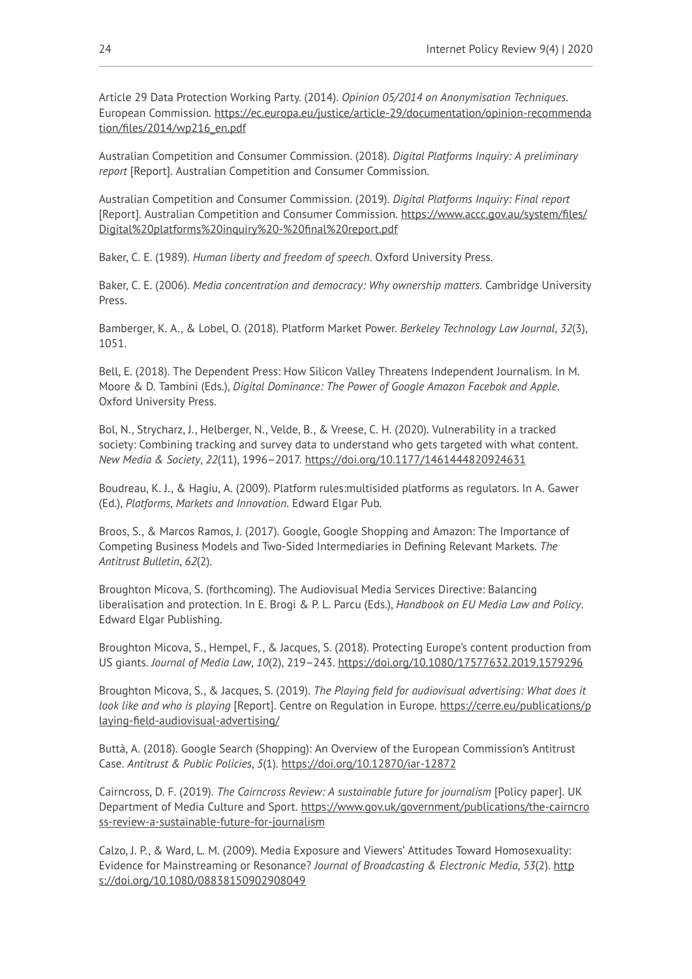Article 29 Data Protection Working Party. (2014). *Opinion 05/2014 on Anonymisation Techniques*. European Commission. [https://ec.europa.eu/justice/article-29/documentation/opinion-recommenda](https://ec.europa.eu/justice/article-29/documentation/opinion-recommendation/files/2014/wp216_en.pdf) [tion/files/2014/wp216\\_en.pdf](https://ec.europa.eu/justice/article-29/documentation/opinion-recommendation/files/2014/wp216_en.pdf) 

Australian Competition and Consumer Commission. (2018). *Digital Platforms Inquiry: A preliminary report* [Report]. Australian Competition and Consumer Commission.

Australian Competition and Consumer Commission. (2019). *Digital Platforms Inquiry: Final report*  [Report]. Australian Competition and Consumer Commission. [https://www.accc.gov.au/system/files/](https://www.accc.gov.au/system/files/Digital%20platforms%20inquiry%20-%20final%20report.pdf) [Digital%20platforms%20inquiry%20-%20final%20report.pdf](https://www.accc.gov.au/system/files/Digital%20platforms%20inquiry%20-%20final%20report.pdf)

Baker, C. E. (1989). *Human liberty and freedom of speech*. Oxford University Press.

Baker, C. E. (2006). *Media concentration and democracy: Why ownership matters*. Cambridge University Press.

Bamberger, K. A., & Lobel, O. (2018). Platform Market Power. *Berkeley Technology Law Journal*, *32*(3), 1051.

Bell, E. (2018). The Dependent Press: How Silicon Valley Threatens Independent Journalism. In M. Moore & D. Tambini (Eds.), *Digital Dominance: The Power of Google Amazon Facebok and Apple*. Oxford University Press.

Bol, N., Strycharz, J., Helberger, N., Velde, B., & Vreese, C. H. (2020). Vulnerability in a tracked society: Combining tracking and survey data to understand who gets targeted with what content. *New Media & Society*, *22*(11), 1996–2017.<https://doi.org/10.1177/1461444820924631>

Boudreau, K. J., & Hagiu, A. (2009). Platform rules:multisided platforms as regulators. In A. Gawer (Ed.), *Platforms, Markets and Innovation*. Edward Elgar Pub.

Broos, S., & Marcos Ramos, J. (2017). Google, Google Shopping and Amazon: The Importance of Competing Business Models and Two-Sided Intermediaries in Defining Relevant Markets. *The Antitrust Bulletin*, *62*(2).

Broughton Micova, S. (forthcoming). The Audiovisual Media Services Directive: Balancing liberalisation and protection. In E. Brogi & P. L. Parcu (Eds.), *Handbook on EU Media Law and Policy*. Edward Elgar Publishing.

Broughton Micova, S., Hempel, F., & Jacques, S. (2018). Protecting Europe's content production from US giants. *Journal of Media Law*, *10*(2), 219–243. <https://doi.org/10.1080/17577632.2019.1579296>

Broughton Micova, S., & Jacques, S. (2019). *The Playing field for audiovisual advertising: What does it look like and who is playing* [Report]. Centre on Regulation in Europe. [https://cerre.eu/publications/p](https://cerre.eu/publications/playing-field-audiovisual-advertising/) [laying-field-audiovisual-advertising/](https://cerre.eu/publications/playing-field-audiovisual-advertising/)

Buttà, A. (2018). Google Search (Shopping): An Overview of the European Commission's Antitrust Case. *Antitrust & Public Policies*, *5*(1).<https://doi.org/10.12870/iar-12872>

Cairncross, D. F. (2019). *The Cairncross Review: A sustainable future for journalism* [Policy paper]. UK Department of Media Culture and Sport. [https://www.gov.uk/government/publications/the-cairncro](https://www.gov.uk/government/publications/the-cairncross-review-a-sustainable-future-for-journalism) [ss-review-a-sustainable-future-for-journalism](https://www.gov.uk/government/publications/the-cairncross-review-a-sustainable-future-for-journalism) 

Calzo, J. P., & Ward, L. M. (2009). Media Exposure and Viewers' Attitudes Toward Homosexuality: Evidence for Mainstreaming or Resonance? *Journal of Broadcasting & Electronic Media*, *53*(2). [http](https://doi.org/10.1080/08838150902908049) [s://doi.org/10.1080/08838150902908049](https://doi.org/10.1080/08838150902908049)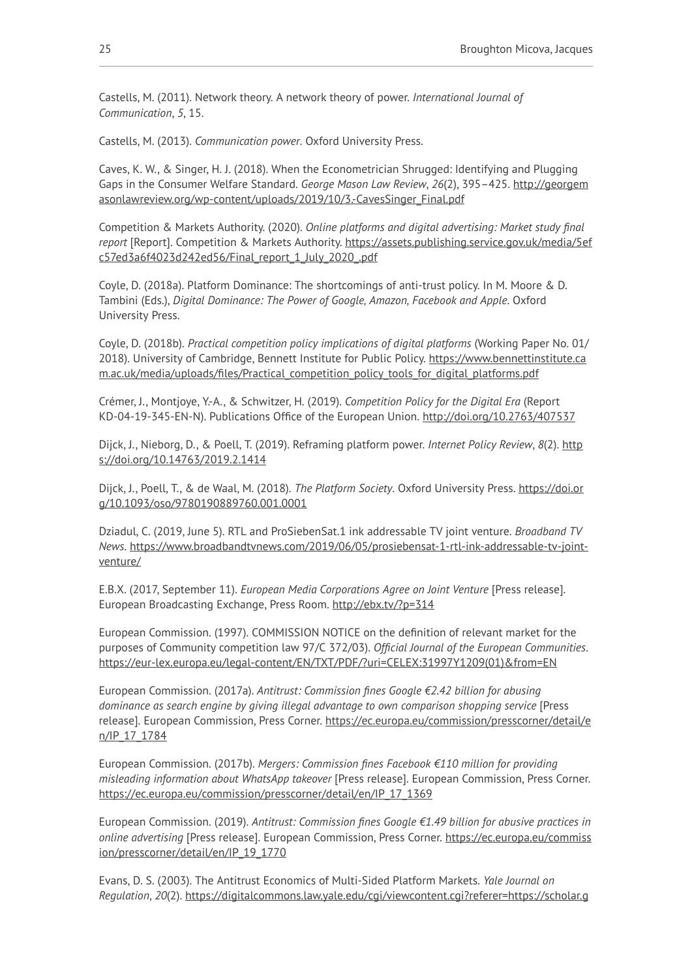Castells, M. (2011). Network theory. A network theory of power. *International Journal of Communication*, *5*, 15.

Castells, M. (2013). *Communication power*. Oxford University Press.

Caves, K. W., & Singer, H. J. (2018). When the Econometrician Shrugged: Identifying and Plugging Gaps in the Consumer Welfare Standard. *George Mason Law Review*, *26*(2), 395–425. [http://georgem](http://georgemasonlawreview.org/wp-content/uploads/2019/10/3.-CavesSinger_Final.pdf) [asonlawreview.org/wp-content/uploads/2019/10/3.-CavesSinger\\_Final.pdf](http://georgemasonlawreview.org/wp-content/uploads/2019/10/3.-CavesSinger_Final.pdf) 

Competition & Markets Authority. (2020). *Online platforms and digital advertising: Market study final report* [Report]. Competition & Markets Authority. [https://assets.publishing.service.gov.uk/media/5ef](https://assets.publishing.service.gov.uk/media/5efc57ed3a6f4023d242ed56/Final_report_1_July_2020_.pdf) [c57ed3a6f4023d242ed56/Final\\_report\\_1\\_July\\_2020\\_.pdf](https://assets.publishing.service.gov.uk/media/5efc57ed3a6f4023d242ed56/Final_report_1_July_2020_.pdf) 

Coyle, D. (2018a). Platform Dominance: The shortcomings of anti-trust policy. In M. Moore & D. Tambini (Eds.), *Digital Dominance: The Power of Google, Amazon, Facebook and Apple*. Oxford University Press.

Coyle, D. (2018b). *Practical competition policy implications of digital platforms* (Working Paper No. 01/ 2018). University of Cambridge, Bennett Institute for Public Policy. [https://www.bennettinstitute.ca](https://www.bennettinstitute.cam.ac.uk/media/uploads/files/Practical_competition_policy_tools_for_digital_platforms.pdf) [m.ac.uk/media/uploads/files/Practical\\_competition\\_policy\\_tools\\_for\\_digital\\_platforms.pdf](https://www.bennettinstitute.cam.ac.uk/media/uploads/files/Practical_competition_policy_tools_for_digital_platforms.pdf) 

Crémer, J., Montjoye, Y.-A., & Schwitzer, H. (2019). *Competition Policy for the Digital Era* (Report KD-04-19-345-EN-N). Publications Office of the European Union. <http://doi.org/10.2763/407537>

Dijck, J., Nieborg, D., & Poell, T. (2019). Reframing platform power. *Internet Policy Review*, *8*(2). [http](https://doi.org/10.14763/2019.2.1414) [s://doi.org/10.14763/2019.2.1414](https://doi.org/10.14763/2019.2.1414)

Dijck, J., Poell, T., & de Waal, M. (2018). *The Platform Society*. Oxford University Press. [https://doi.or](https://doi.org/10.1093/oso/9780190889760.001.0001) [g/10.1093/oso/9780190889760.001.0001](https://doi.org/10.1093/oso/9780190889760.001.0001)

Dziadul, C. (2019, June 5). RTL and ProSiebenSat.1 ink addressable TV joint venture. *Broadband TV News*. [https://www.broadbandtvnews.com/2019/06/05/prosiebensat-1-rtl-ink-addressable-tv-joint](https://www.broadbandtvnews.com/2019/06/05/prosiebensat-1-rtl-ink-addressable-tv-joint-venture/)[venture/](https://www.broadbandtvnews.com/2019/06/05/prosiebensat-1-rtl-ink-addressable-tv-joint-venture/)

E.B.X. (2017, September 11). *European Media Corporations Agree on Joint Venture* [Press release]. European Broadcasting Exchange, Press Room.<http://ebx.tv/?p=314>

European Commission. (1997). COMMISSION NOTICE on the definition of relevant market for the purposes of Community competition law 97/C 372/03). *Official Journal of the European Communities*. [https://eur-lex.europa.eu/legal-content/EN/TXT/PDF/?uri=CELEX:31997Y1209\(01\)&from=EN](https://eur-lex.europa.eu/legal-content/EN/TXT/PDF/?uri=CELEX:31997Y1209(01)&from=EN)

European Commission. (2017a). *Antitrust: Commission fines Google €2.42 billion for abusing dominance as search engine by giving illegal advantage to own comparison shopping service* [Press release]. European Commission, Press Corner. [https://ec.europa.eu/commission/presscorner/detail/e](https://ec.europa.eu/commission/presscorner/detail/en/IP_17_1784) [n/IP\\_17\\_1784](https://ec.europa.eu/commission/presscorner/detail/en/IP_17_1784)

European Commission. (2017b). *Mergers: Commission fines Facebook €110 million for providing misleading information about WhatsApp takeover* [Press release]. European Commission, Press Corner. [https://ec.europa.eu/commission/presscorner/detail/en/IP\\_17\\_1369](https://ec.europa.eu/commission/presscorner/detail/en/IP_17_1369)

European Commission. (2019). *Antitrust: Commission fines Google €1.49 billion for abusive practices in online advertising* [Press release]. European Commission, Press Corner. [https://ec.europa.eu/commiss](https://ec.europa.eu/commission/presscorner/detail/en/IP_19_1770) [ion/presscorner/detail/en/IP\\_19\\_1770](https://ec.europa.eu/commission/presscorner/detail/en/IP_19_1770)

Evans, D. S. (2003). The Antitrust Economics of Multi-Sided Platform Markets. *Yale Journal on Regulation*, *20*(2). [https://digitalcommons.law.yale.edu/cgi/viewcontent.cgi?referer=https://scholar.g](https://digitalcommons.law.yale.edu/cgi/viewcontent.cgi?referer=https://scholar.google.co.uk/&httpsredir=1&article=1144&context=yjreg)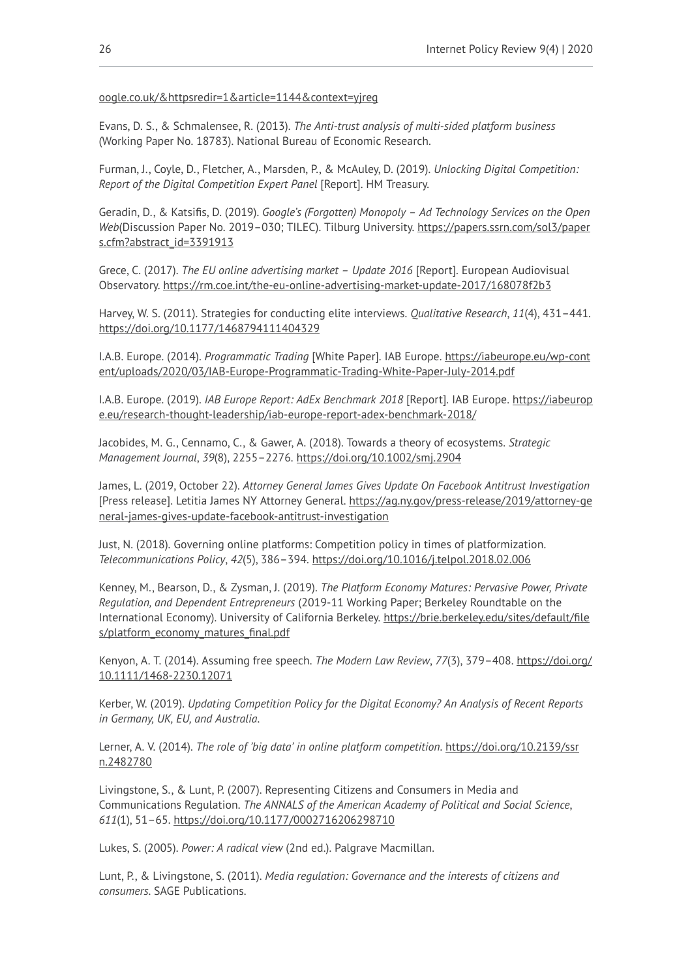#### [oogle.co.uk/&httpsredir=1&article=1144&context=yjreg](https://digitalcommons.law.yale.edu/cgi/viewcontent.cgi?referer=https://scholar.google.co.uk/&httpsredir=1&article=1144&context=yjreg)

Evans, D. S., & Schmalensee, R. (2013). *The Anti-trust analysis of multi-sided platform business*  (Working Paper No. 18783). National Bureau of Economic Research.

Furman, J., Coyle, D., Fletcher, A., Marsden, P., & McAuley, D. (2019). *Unlocking Digital Competition: Report of the Digital Competition Expert Panel* [Report]. HM Treasury.

Geradin, D., & Katsifis, D. (2019). *Google's (Forgotten) Monopoly – Ad Technology Services on the Open Web*(Discussion Paper No. 2019–030; TILEC). Tilburg University. [https://papers.ssrn.com/sol3/paper](https://papers.ssrn.com/sol3/papers.cfm?abstract_id=3391913) [s.cfm?abstract\\_id=3391913](https://papers.ssrn.com/sol3/papers.cfm?abstract_id=3391913)

Grece, C. (2017). *The EU online advertising market – Update 2016* [Report]. European Audiovisual Observatory. <https://rm.coe.int/the-eu-online-advertising-market-update-2017/168078f2b3>

Harvey, W. S. (2011). Strategies for conducting elite interviews. *Qualitative Research*, *11*(4), 431–441. <https://doi.org/10.1177/1468794111404329>

I.A.B. Europe. (2014). *Programmatic Trading* [White Paper]. IAB Europe. [https://iabeurope.eu/wp-cont](https://iabeurope.eu/wp-content/uploads/2020/03/IAB-Europe-Programmatic-Trading-White-Paper-July-2014.pdf) [ent/uploads/2020/03/IAB-Europe-Programmatic-Trading-White-Paper-July-2014.pdf](https://iabeurope.eu/wp-content/uploads/2020/03/IAB-Europe-Programmatic-Trading-White-Paper-July-2014.pdf) 

I.A.B. Europe. (2019). *IAB Europe Report: AdEx Benchmark 2018* [Report]. IAB Europe. [https://iabeurop](https://iabeurope.eu/research-thought-leadership/iab-europe-report-adex-benchmark-2018/) [e.eu/research-thought-leadership/iab-europe-report-adex-benchmark-2018/](https://iabeurope.eu/research-thought-leadership/iab-europe-report-adex-benchmark-2018/) 

Jacobides, M. G., Cennamo, C., & Gawer, A. (2018). Towards a theory of ecosystems. *Strategic Management Journal*, *39*(8), 2255–2276.<https://doi.org/10.1002/smj.2904>

James, L. (2019, October 22). *Attorney General James Gives Update On Facebook Antitrust Investigation*  [Press release]. Letitia James NY Attorney General. [https://ag.ny.gov/press-release/2019/attorney-ge](https://ag.ny.gov/press-release/2019/attorney-general-james-gives-update-facebook-antitrust-investigation) [neral-james-gives-update-facebook-antitrust-investigation](https://ag.ny.gov/press-release/2019/attorney-general-james-gives-update-facebook-antitrust-investigation)

Just, N. (2018). Governing online platforms: Competition policy in times of platformization. *Telecommunications Policy*, *42*(5), 386–394. <https://doi.org/10.1016/j.telpol.2018.02.006>

Kenney, M., Bearson, D., & Zysman, J. (2019). *The Platform Economy Matures: Pervasive Power, Private Regulation, and Dependent Entrepreneurs* (2019-11 Working Paper; Berkeley Roundtable on the International Economy). University of California Berkeley. [https://brie.berkeley.edu/sites/default/file](https://brie.berkeley.edu/sites/default/files/platform_economy_matures_final.pdf) [s/platform\\_economy\\_matures\\_final.pdf](https://brie.berkeley.edu/sites/default/files/platform_economy_matures_final.pdf)

Kenyon, A. T. (2014). Assuming free speech. *The Modern Law Review*, *77*(3), 379–408. [https://doi.org/](https://doi.org/10.1111/1468-2230.12071) [10.1111/1468-2230.12071](https://doi.org/10.1111/1468-2230.12071)

Kerber, W. (2019). *Updating Competition Policy for the Digital Economy? An Analysis of Recent Reports in Germany, UK, EU, and Australia*.

Lerner, A. V. (2014). *The role of 'big data' in online platform competition*. [https://doi.org/10.2139/ssr](https://doi.org/10.2139/ssrn.2482780) [n.2482780](https://doi.org/10.2139/ssrn.2482780) 

Livingstone, S., & Lunt, P. (2007). Representing Citizens and Consumers in Media and Communications Regulation. *The ANNALS of the American Academy of Political and Social Science*, *611*(1), 51–65. <https://doi.org/10.1177/0002716206298710>

Lukes, S. (2005). *Power: A radical view* (2nd ed.). Palgrave Macmillan.

Lunt, P., & Livingstone, S. (2011). *Media regulation: Governance and the interests of citizens and consumers*. SAGE Publications.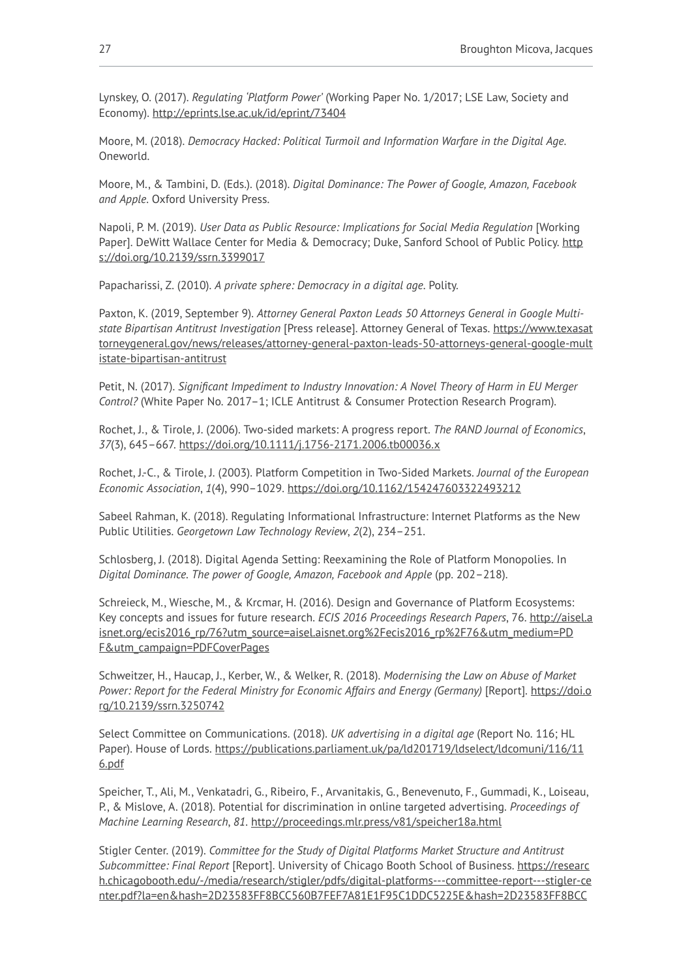Lynskey, O. (2017). *Regulating 'Platform Power'* (Working Paper No. 1/2017; LSE Law, Society and Economy).<http://eprints.lse.ac.uk/id/eprint/73404>

Moore, M. (2018). *Democracy Hacked: Political Turmoil and Information Warfare in the Digital Age*. Oneworld.

Moore, M., & Tambini, D. (Eds.). (2018). *Digital Dominance: The Power of Google, Amazon, Facebook and Apple*. Oxford University Press.

Napoli, P. M. (2019). *User Data as Public Resource: Implications for Social Media Regulation* [Working Paper]. DeWitt Wallace Center for Media & Democracy; Duke, Sanford School of Public Policy. [http](https://doi.org/10.2139/ssrn.3399017) [s://doi.org/10.2139/ssrn.3399017](https://doi.org/10.2139/ssrn.3399017) 

Papacharissi, Z. (2010). *A private sphere: Democracy in a digital age*. Polity.

Paxton, K. (2019, September 9). *Attorney General Paxton Leads 50 Attorneys General in Google Multistate Bipartisan Antitrust Investigation* [Press release]. Attorney General of Texas. [https://www.texasat](https://www.texasattorneygeneral.gov/news/releases/attorney-general-paxton-leads-50-attorneys-general-google-multistate-bipartisan-antitrust) [torneygeneral.gov/news/releases/attorney-general-paxton-leads-50-attorneys-general-google-mult](https://www.texasattorneygeneral.gov/news/releases/attorney-general-paxton-leads-50-attorneys-general-google-multistate-bipartisan-antitrust) [istate-bipartisan-antitrust](https://www.texasattorneygeneral.gov/news/releases/attorney-general-paxton-leads-50-attorneys-general-google-multistate-bipartisan-antitrust) 

Petit, N. (2017). *Significant Impediment to Industry Innovation: A Novel Theory of Harm in EU Merger Control?* (White Paper No. 2017–1; ICLE Antitrust & Consumer Protection Research Program).

Rochet, J., & Tirole, J. (2006). Two‐sided markets: A progress report. *The RAND Journal of Economics*, *37*(3), 645–667.<https://doi.org/10.1111/j.1756-2171.2006.tb00036.x>

Rochet, J.-C., & Tirole, J. (2003). Platform Competition in Two-Sided Markets. *Journal of the European Economic Association*, *1*(4), 990–1029.<https://doi.org/10.1162/154247603322493212>

Sabeel Rahman, K. (2018). Regulating Informational Infrastructure: Internet Platforms as the New Public Utilities. *Georgetown Law Technology Review*, *2*(2), 234–251.

Schlosberg, J. (2018). Digital Agenda Setting: Reexamining the Role of Platform Monopolies. In *Digital Dominance. The power of Google, Amazon, Facebook and Apple* (pp. 202–218).

Schreieck, M., Wiesche, M., & Krcmar, H. (2016). Design and Governance of Platform Ecosystems: Key concepts and issues for future research. *ECIS 2016 Proceedings Research Papers*, 76. [http://aisel.a](http://aisel.aisnet.org/ecis2016_rp/76?utm_source=aisel.aisnet.org%2Fecis2016_rp%2F76&utm_medium=PDF&utm_campaign=PDFCoverPages) [isnet.org/ecis2016\\_rp/76?utm\\_source=aisel.aisnet.org%2Fecis2016\\_rp%2F76&utm\\_medium=PD](http://aisel.aisnet.org/ecis2016_rp/76?utm_source=aisel.aisnet.org%2Fecis2016_rp%2F76&utm_medium=PDF&utm_campaign=PDFCoverPages) [F&utm\\_campaign=PDFCoverPages](http://aisel.aisnet.org/ecis2016_rp/76?utm_source=aisel.aisnet.org%2Fecis2016_rp%2F76&utm_medium=PDF&utm_campaign=PDFCoverPages) 

Schweitzer, H., Haucap, J., Kerber, W., & Welker, R. (2018). *Modernising the Law on Abuse of Market Power: Report for the Federal Ministry for Economic Affairs and Energy (Germany)* [Report]. [https://doi.o](https://doi.org/10.2139/ssrn.3250742) [rg/10.2139/ssrn.3250742](https://doi.org/10.2139/ssrn.3250742)

Select Committee on Communications. (2018). *UK advertising in a digital age* (Report No. 116; HL Paper). House of Lords. [https://publications.parliament.uk/pa/ld201719/ldselect/ldcomuni/116/11](https://publications.parliament.uk/pa/ld201719/ldselect/ldcomuni/116/116.pdf) [6.pdf](https://publications.parliament.uk/pa/ld201719/ldselect/ldcomuni/116/116.pdf) 

Speicher, T., Ali, M., Venkatadri, G., Ribeiro, F., Arvanitakis, G., Benevenuto, F., Gummadi, K., Loiseau, P., & Mislove, A. (2018). Potential for discrimination in online targeted advertising. *Proceedings of Machine Learning Research*, *81*.<http://proceedings.mlr.press/v81/speicher18a.html>

Stigler Center. (2019). *Committee for the Study of Digital Platforms Market Structure and Antitrust Subcommittee: Final Report* [Report]. University of Chicago Booth School of Business. [https://researc](https://research.chicagobooth.edu/-/media/research/stigler/pdfs/digital-platforms---committee-report---stigler-center.pdf?la=en&hash=2D23583FF8BCC560B7FEF7A81E1F95C1DDC5225E&hash=2D23583FF8BCC560B7FEF7A81E1F95C1DDC5225E) [h.chicagobooth.edu/-/media/research/stigler/pdfs/digital-platforms---committee-report---stigler-ce](https://research.chicagobooth.edu/-/media/research/stigler/pdfs/digital-platforms---committee-report---stigler-center.pdf?la=en&hash=2D23583FF8BCC560B7FEF7A81E1F95C1DDC5225E&hash=2D23583FF8BCC560B7FEF7A81E1F95C1DDC5225E) [nter.pdf?la=en&hash=2D23583FF8BCC560B7FEF7A81E1F95C1DDC5225E&hash=2D23583FF8BCC](https://research.chicagobooth.edu/-/media/research/stigler/pdfs/digital-platforms---committee-report---stigler-center.pdf?la=en&hash=2D23583FF8BCC560B7FEF7A81E1F95C1DDC5225E&hash=2D23583FF8BCC560B7FEF7A81E1F95C1DDC5225E)